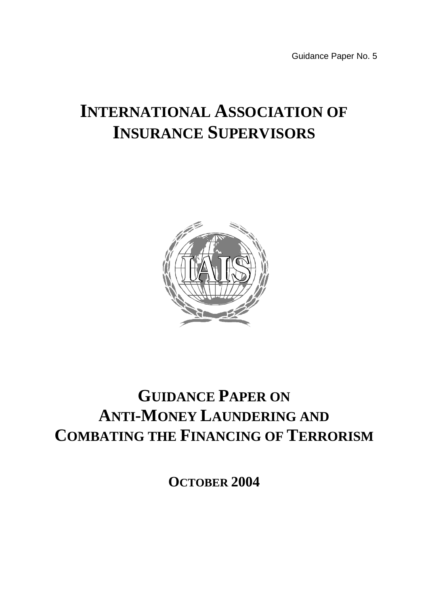Guidance Paper No. 5

# **INTERNATIONAL ASSOCIATION OF INSURANCE SUPERVISORS**



# **GUIDANCE PAPER ON ANTI-MONEY LAUNDERING AND COMBATING THE FINANCING OF TERRORISM**

**OCTOBER 2004**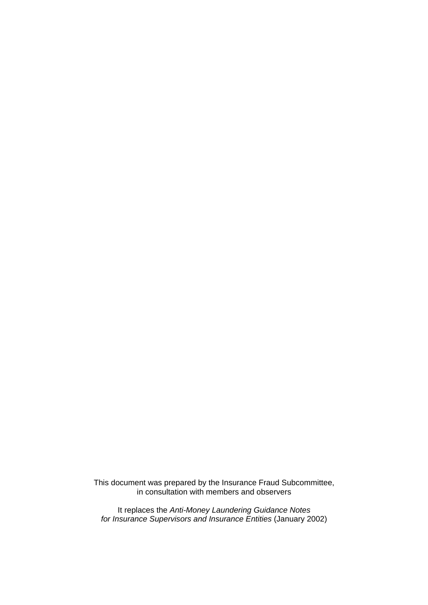This document was prepared by the Insurance Fraud Subcommittee, in consultation with members and observers

It replaces the *Anti-Money Laundering Guidance Notes for Insurance Supervisors and Insurance Entities* (January 2002)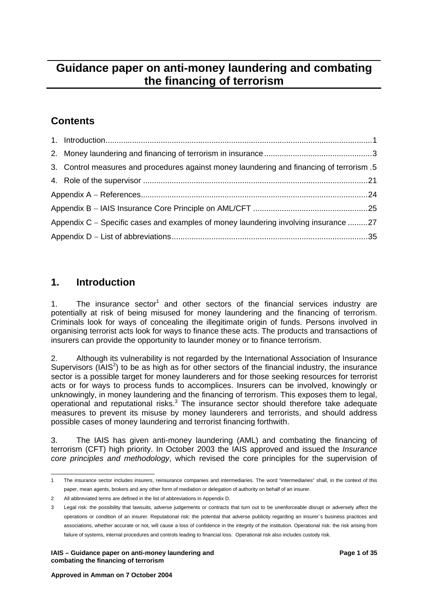# <span id="page-2-3"></span>**Guidance paper on anti-money laundering and combating the financing of terrorism**

# **Contents**

|                                                                                     | 3. Control measures and procedures against money laundering and financing of terrorism .5 |  |  |
|-------------------------------------------------------------------------------------|-------------------------------------------------------------------------------------------|--|--|
|                                                                                     |                                                                                           |  |  |
|                                                                                     |                                                                                           |  |  |
|                                                                                     |                                                                                           |  |  |
| Appendix C – Specific cases and examples of money laundering involving insurance 27 |                                                                                           |  |  |
|                                                                                     |                                                                                           |  |  |

# **1. Introduction**

[1](#page-2-0). The insurance sector<sup>1</sup> and other sectors of the financial services industry are potentially at risk of being misused for money laundering and the financing of terrorism. Criminals look for ways of concealing the illegitimate origin of funds. Persons involved in organising terrorist acts look for ways to finance these acts. The products and transactions of insurers can provide the opportunity to launder money or to finance terrorism.

2. Although its vulnerability is not regarded by the International Association of Insurance Supervisors ( $[AdS<sup>2</sup>]$  $[AdS<sup>2</sup>]$  $[AdS<sup>2</sup>]$  to be as high as for other sectors of the financial industry, the insurance sector is a possible target for money launderers and for those seeking resources for terrorist acts or for ways to process funds to accomplices. Insurers can be involved, knowingly or unknowingly, in money laundering and the financing of terrorism. This exposes them to legal, operational and reputational risks.<sup>[3](#page-2-2)</sup> The insurance sector should therefore take adequate measures to prevent its misuse by money launderers and terrorists, and should address possible cases of money laundering and terrorist financing forthwith.

3. The IAIS has given anti-money laundering (AML) and combating the financing of terrorism (CFT) high priority. In October 2003 the IAIS approved and issued the *Insurance core principles and methodology*, which revised the core principles for the supervision of

<span id="page-2-0"></span> $\overline{a}$ 1 The insurance sector includes insurers, reinsurance companies and intermediaries. The word "intermediaries" shall, in the context of this paper, mean agents, brokers and any other form of mediation or delegation of authority on behalf of an insurer.

<span id="page-2-1"></span><sup>2</sup> All abbreviated terms are defined in the list of abbreviations in Appendix D.

<span id="page-2-2"></span><sup>3</sup> Legal risk: the possibility that lawsuits, adverse judgements or contracts that turn out to be unenforceable disrupt or adversely affect the operations or condition of an insurer. Reputational risk: the potential that adverse publicity regarding an insurer´s business practices and associations, whether accurate or not, will cause a loss of confidence in the integrity of the institution. Operational risk: the risk arising from failure of systems, internal procedures and controls leading to financial loss. Operational risk also includes custody risk.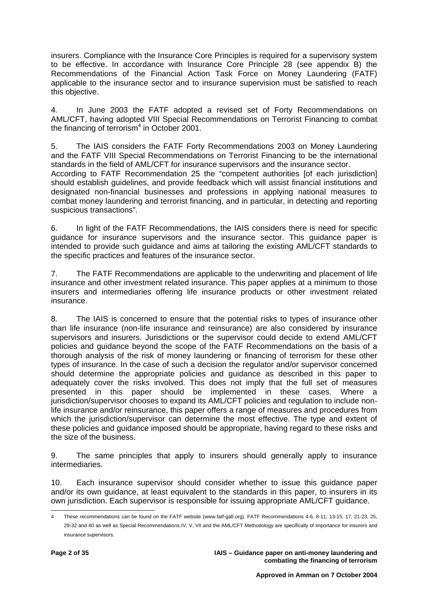insurers. Compliance with the Insurance Core Principles is required for a supervisory system to be effective. In accordance with Insurance Core Principle 28 (see appendix B) the Recommendations of the Financial Action Task Force on Money Laundering (FATF) applicable to the insurance sector and to insurance supervision must be satisfied to reach this objective.

4. In June 2003 the FATF adopted a revised set of Forty Recommendations on AML/CFT, having adopted VIII Special Recommendations on Terrorist Financing to combat the financing of terrorism $4$  in October 2001.

5. The IAIS considers the FATF Forty Recommendations 2003 on Money Laundering and the FATF VIII Special Recommendations on Terrorist Financing to be the international standards in the field of AML/CFT for insurance supervisors and the insurance sector. According to FATF Recommendation 25 the "competent authorities [of each jurisdiction] should establish guidelines, and provide feedback which will assist financial institutions and designated non-financial businesses and professions in applying national measures to combat money laundering and terrorist financing, and in particular, in detecting and reporting suspicious transactions".

6. In light of the FATF Recommendations, the IAIS considers there is need for specific guidance for insurance supervisors and the insurance sector. This guidance paper is intended to provide such guidance and aims at tailoring the existing AML/CFT standards to the specific practices and features of the insurance sector.

7. The FATF Recommendations are applicable to the underwriting and placement of life insurance and other investment related insurance. This paper applies at a minimum to those insurers and intermediaries offering life insurance products or other investment related insurance.

8. The IAIS is concerned to ensure that the potential risks to types of insurance other than life insurance (non-life insurance and reinsurance) are also considered by insurance supervisors and insurers. Jurisdictions or the supervisor could decide to extend AML/CFT policies and guidance beyond the scope of the FATF Recommendations on the basis of a thorough analysis of the risk of money laundering or financing of terrorism for these other types of insurance. In the case of such a decision the regulator and/or supervisor concerned should determine the appropriate policies and guidance as described in this paper to adequately cover the risks involved. This does not imply that the full set of measures presented in this paper should be implemented in these cases. Where a jurisdiction/supervisor chooses to expand its AML/CFT policies and regulation to include nonlife insurance and/or reinsurance, this paper offers a range of measures and procedures from which the jurisdiction/supervisor can determine the most effective. The type and extent of these policies and guidance imposed should be appropriate, having regard to these risks and the size of the business.

9. The same principles that apply to insurers should generally apply to insurance intermediaries.

10. Each insurance supervisor should consider whether to issue this guidance paper and/or its own quidance, at least equivalent to the standards in this paper, to insurers in its own jurisdiction. Each supervisor is responsible for issuing appropriate AML/CFT guidance.

<span id="page-3-0"></span> $\overline{\phantom{a}}$ 4 These recommendations can be found on the FATF website [\(www.fatf-gafi.org\)](http://www.fatf-gafi.org/). FATF Recommendations 4-6, 8-11, 13-15, 17, 21-23, 25, 29-32 and 40 as well as Special Recommendations IV, V, VII and the AML/CFT Methodology are specifically of importance for insurers and insurance supervisors.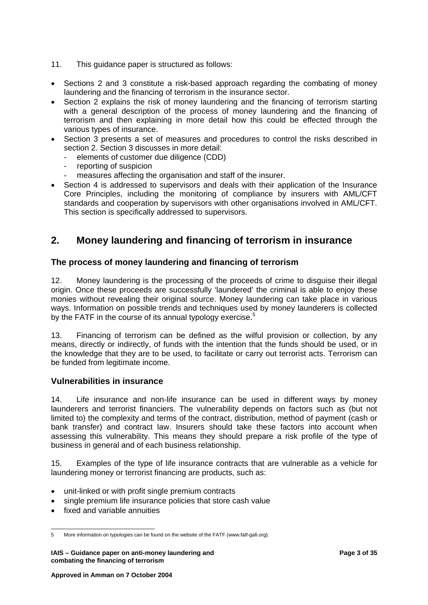- <span id="page-4-0"></span>11. This guidance paper is structured as follows:
- Sections 2 and 3 constitute a risk-based approach regarding the combating of money laundering and the financing of terrorism in the insurance sector.
- Section 2 explains the risk of money laundering and the financing of terrorism starting with a general description of the process of money laundering and the financing of terrorism and then explaining in more detail how this could be effected through the various types of insurance.
- Section 3 presents a set of measures and procedures to control the risks described in section 2. Section 3 discusses in more detail:
	- elements of customer due diligence (CDD)
	- reporting of suspicion
	- measures affecting the organisation and staff of the insurer.
- Section 4 is addressed to supervisors and deals with their application of the Insurance Core Principles, including the monitoring of compliance by insurers with AML/CFT standards and cooperation by supervisors with other organisations involved in AML/CFT. This section is specifically addressed to supervisors.

## **2. Money laundering and financing of terrorism in insurance**

#### **The process of money laundering and financing of terrorism**

12. Money laundering is the processing of the proceeds of crime to disguise their illegal origin. Once these proceeds are successfully 'laundered' the criminal is able to enjoy these monies without revealing their original source. Money laundering can take place in various ways. Information on possible trends and techniques used by money launderers is collected by the FATF in the course of its annual typology exercise.<sup>[5](#page-4-1)</sup>

13. Financing of terrorism can be defined as the wilful provision or collection, by any means, directly or indirectly, of funds with the intention that the funds should be used, or in the knowledge that they are to be used, to facilitate or carry out terrorist acts. Terrorism can be funded from legitimate income.

#### **Vulnerabilities in insurance**

14. Life insurance and non-life insurance can be used in different ways by money launderers and terrorist financiers. The vulnerability depends on factors such as (but not limited to) the complexity and terms of the contract, distribution, method of payment (cash or bank transfer) and contract law. Insurers should take these factors into account when assessing this vulnerability. This means they should prepare a risk profile of the type of business in general and of each business relationship.

15. Examples of the type of life insurance contracts that are vulnerable as a vehicle for laundering money or terrorist financing are products, such as:

- unit-linked or with profit single premium contracts
- single premium life insurance policies that store cash value
- fixed and variable annuities

<span id="page-4-1"></span> $\overline{\phantom{a}}$ 5 More information on typologies can be found on the website of the FATF (www.fatf-gafi.org).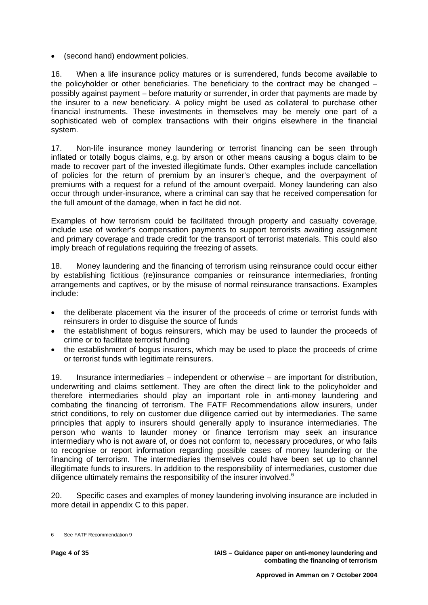• (second hand) endowment policies.

16. When a life insurance policy matures or is surrendered, funds become available to the policyholder or other beneficiaries. The beneficiary to the contract may be changed − possibly against payment − before maturity or surrender, in order that payments are made by the insurer to a new beneficiary. A policy might be used as collateral to purchase other financial instruments. These investments in themselves may be merely one part of a sophisticated web of complex transactions with their origins elsewhere in the financial system.

17. Non-life insurance money laundering or terrorist financing can be seen through inflated or totally bogus claims, e.g. by arson or other means causing a bogus claim to be made to recover part of the invested illegitimate funds. Other examples include cancellation of policies for the return of premium by an insurer's cheque, and the overpayment of premiums with a request for a refund of the amount overpaid. Money laundering can also occur through under-insurance, where a criminal can say that he received compensation for the full amount of the damage, when in fact he did not.

Examples of how terrorism could be facilitated through property and casualty coverage, include use of worker's compensation payments to support terrorists awaiting assignment and primary coverage and trade credit for the transport of terrorist materials. This could also imply breach of regulations requiring the freezing of assets.

18. Money laundering and the financing of terrorism using reinsurance could occur either by establishing fictitious (re)insurance companies or reinsurance intermediaries, fronting arrangements and captives, or by the misuse of normal reinsurance transactions. Examples include:

- the deliberate placement via the insurer of the proceeds of crime or terrorist funds with reinsurers in order to disguise the source of funds
- the establishment of bogus reinsurers, which may be used to launder the proceeds of crime or to facilitate terrorist funding
- the establishment of bogus insurers, which may be used to place the proceeds of crime or terrorist funds with legitimate reinsurers.

19. Insurance intermediaries − independent or otherwise − are important for distribution, underwriting and claims settlement. They are often the direct link to the policyholder and therefore intermediaries should play an important role in anti-money laundering and combating the financing of terrorism. The FATF Recommendations allow insurers, under strict conditions, to rely on customer due diligence carried out by intermediaries. The same principles that apply to insurers should generally apply to insurance intermediaries. The person who wants to launder money or finance terrorism may seek an insurance intermediary who is not aware of, or does not conform to, necessary procedures, or who fails to recognise or report information regarding possible cases of money laundering or the financing of terrorism. The intermediaries themselves could have been set up to channel illegitimate funds to insurers. In addition to the responsibility of intermediaries, customer due diligence ultimately remains the responsibility of the insurer involved.<sup>[6](#page-5-0)</sup>

20. Specific cases and examples of money laundering involving insurance are included in more detail in appendix C to this paper.

<span id="page-5-0"></span> $\overline{a}$ 6 See FATF Recommendation 9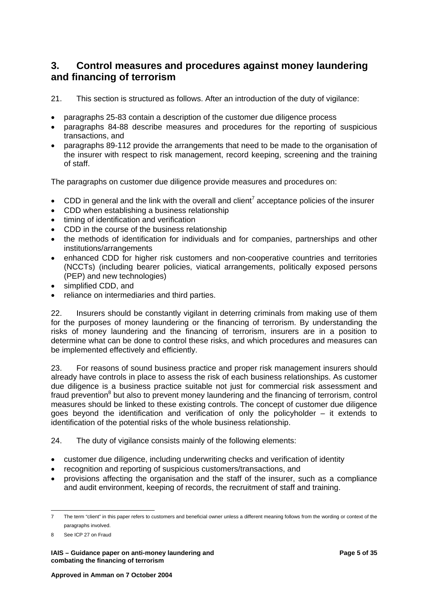## <span id="page-6-0"></span>**3. Control measures and procedures against money laundering and financing of terrorism**

21. This section is structured as follows. After an introduction of the duty of vigilance:

- paragraphs 25-83 contain a description of the customer due diligence process
- paragraphs 84-88 describe measures and procedures for the reporting of suspicious transactions, and
- paragraphs 89-112 provide the arrangements that need to be made to the organisation of the insurer with respect to risk management, record keeping, screening and the training of staff.

The paragraphs on customer due diligence provide measures and procedures on:

- CDD in general and the link with the overall and client<sup>7</sup> acceptance policies of the insurer
- CDD when establishing a business relationship
- timing of identification and verification
- CDD in the course of the business relationship
- the methods of identification for individuals and for companies, partnerships and other institutions/arrangements
- enhanced CDD for higher risk customers and non-cooperative countries and territories (NCCTs) (including bearer policies, viatical arrangements, politically exposed persons (PEP) and new technologies)
- simplified CDD, and
- reliance on intermediaries and third parties.

22. Insurers should be constantly vigilant in deterring criminals from making use of them for the purposes of money laundering or the financing of terrorism. By understanding the risks of money laundering and the financing of terrorism, insurers are in a position to determine what can be done to control these risks, and which procedures and measures can be implemented effectively and efficiently.

23. For reasons of sound business practice and proper risk management insurers should already have controls in place to assess the risk of each business relationships. As customer due diligence is a business practice suitable not just for commercial risk assessment and fraud prevention<sup>[8](#page-6-2)</sup> but also to prevent money laundering and the financing of terrorism, control measures should be linked to these existing controls. The concept of customer due diligence goes beyond the identification and verification of only the policyholder – it extends to identification of the potential risks of the whole business relationship.

24. The duty of vigilance consists mainly of the following elements:

- customer due diligence, including underwriting checks and verification of identity
- recognition and reporting of suspicious customers/transactions, and
- provisions affecting the organisation and the staff of the insurer, such as a compliance and audit environment, keeping of records, the recruitment of staff and training.

**IAIS – Guidance paper on anti-money laundering and Page 10 and Page 5 of 35 Page 5 of 35 Page 5 of 35 Page 5 of 35 Page 10 and Page 10 and Page 10 and Page 10 and Page 10 and Page 10 and Page 10 and Page 10 and Page 10 an combating the financing of terrorism** 

<span id="page-6-1"></span> $\overline{a}$ 7 The term "client" in this paper refers to customers and beneficial owner unless a different meaning follows from the wording or context of the paragraphs involved.

<span id="page-6-2"></span><sup>8</sup> See ICP 27 on Fraud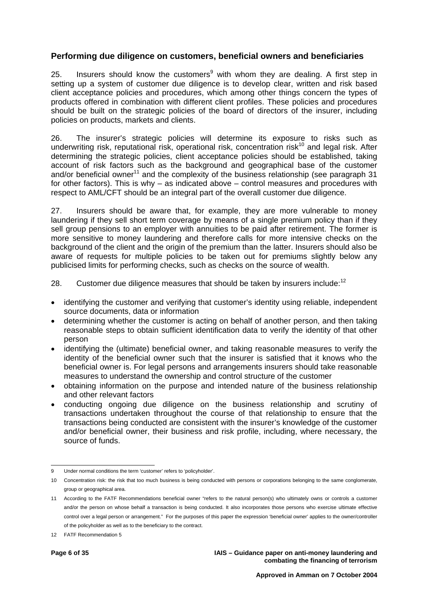#### **Performing due diligence on customers, beneficial owners and beneficiaries**

25. Insurers should know the customers<sup>[9](#page-7-0)</sup> with whom they are dealing. A first step in setting up a system of customer due diligence is to develop clear, written and risk based client acceptance policies and procedures, which among other things concern the types of products offered in combination with different client profiles. These policies and procedures should be built on the strategic policies of the board of directors of the insurer, including policies on products, markets and clients.

26. The insurer's strategic policies will determine its exposure to risks such as underwriting risk, reputational risk, operational risk, concentration risk<sup>10</sup> and legal risk. After determining the strategic policies, client acceptance policies should be established, taking account of risk factors such as the background and geographical base of the customer and/or beneficial owner<sup>11</sup> and the complexity of the business relationship (see paragraph 31 for other factors). This is why – as indicated above – control measures and procedures with respect to AML/CFT should be an integral part of the overall customer due diligence.

27. Insurers should be aware that, for example, they are more vulnerable to money laundering if they sell short term coverage by means of a single premium policy than if they sell group pensions to an employer with annuities to be paid after retirement. The former is more sensitive to money laundering and therefore calls for more intensive checks on the background of the client and the origin of the premium than the latter. Insurers should also be aware of requests for multiple policies to be taken out for premiums slightly below any publicised limits for performing checks, such as checks on the source of wealth.

28. Customer due diligence measures that should be taken by insurers include: $12$ 

- identifying the customer and verifying that customer's identity using reliable, independent source documents, data or information
- determining whether the customer is acting on behalf of another person, and then taking reasonable steps to obtain sufficient identification data to verify the identity of that other person
- identifying the (ultimate) beneficial owner, and taking reasonable measures to verify the identity of the beneficial owner such that the insurer is satisfied that it knows who the beneficial owner is. For legal persons and arrangements insurers should take reasonable measures to understand the ownership and control structure of the customer
- obtaining information on the purpose and intended nature of the business relationship and other relevant factors
- conducting ongoing due diligence on the business relationship and scrutiny of transactions undertaken throughout the course of that relationship to ensure that the transactions being conducted are consistent with the insurer's knowledge of the customer and/or beneficial owner, their business and risk profile, including, where necessary, the source of funds.

<span id="page-7-0"></span>l 9 Under normal conditions the term 'customer' refers to 'policyholder'.

<span id="page-7-1"></span><sup>10</sup> Concentration risk: the risk that too much business is being conducted with persons or corporations belonging to the same conglomerate, group or geographical area.

<span id="page-7-2"></span><sup>11</sup> According to the FATF Recommendations beneficial owner "refers to the natural person(s) who ultimately owns or controls a customer and/or the person on whose behalf a transaction is being conducted. It also incorporates those persons who exercise ultimate effective control over a legal person or arrangement." For the purposes of this paper the expression 'beneficial owner' applies to the owner/controller of the policyholder as well as to the beneficiary to the contract.

<span id="page-7-3"></span><sup>12</sup> FATF Recommendation 5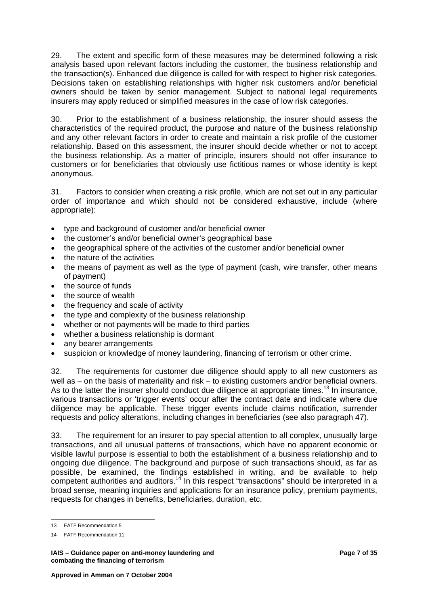29. The extent and specific form of these measures may be determined following a risk analysis based upon relevant factors including the customer, the business relationship and the transaction(s). Enhanced due diligence is called for with respect to higher risk categories. Decisions taken on establishing relationships with higher risk customers and/or beneficial owners should be taken by senior management. Subject to national legal requirements insurers may apply reduced or simplified measures in the case of low risk categories.

30. Prior to the establishment of a business relationship, the insurer should assess the characteristics of the required product, the purpose and nature of the business relationship and any other relevant factors in order to create and maintain a risk profile of the customer relationship. Based on this assessment, the insurer should decide whether or not to accept the business relationship. As a matter of principle, insurers should not offer insurance to customers or for beneficiaries that obviously use fictitious names or whose identity is kept anonymous.

31. Factors to consider when creating a risk profile, which are not set out in any particular order of importance and which should not be considered exhaustive, include (where appropriate):

- type and background of customer and/or beneficial owner
- the customer's and/or beneficial owner's geographical base
- the geographical sphere of the activities of the customer and/or beneficial owner
- the nature of the activities
- the means of payment as well as the type of payment (cash, wire transfer, other means of payment)
- the source of funds
- the source of wealth
- the frequency and scale of activity
- the type and complexity of the business relationship
- whether or not payments will be made to third parties
- whether a business relationship is dormant
- any bearer arrangements
- suspicion or knowledge of money laundering, financing of terrorism or other crime.

32. The requirements for customer due diligence should apply to all new customers as well as – on the basis of materiality and risk – to existing customers and/or beneficial owners. As to the latter the insurer should conduct due diligence at appropriate times.<sup>13</sup> In insurance, various transactions or 'trigger events' occur after the contract date and indicate where due diligence may be applicable. These trigger events include claims notification, surrender requests and policy alterations, including changes in beneficiaries (see also paragraph 47).

33. The requirement for an insurer to pay special attention to all complex, unusually large transactions, and all unusual patterns of transactions, which have no apparent economic or visible lawful purpose is essential to both the establishment of a business relationship and to ongoing due diligence. The background and purpose of such transactions should, as far as possible, be examined, the findings established in writing, and be available to help competent authorities and auditors.<sup>14</sup> In this respect "transactions" should be interpreted in a broad sense, meaning inquiries and applications for an insurance policy, premium payments, requests for changes in benefits, beneficiaries, duration, etc.

 $\overline{a}$ 13 FATF Recommendation 5

<span id="page-8-1"></span><span id="page-8-0"></span><sup>14</sup> FATF Recommendation 11

**IAIS – Guidance paper on anti-money laundering and Page 7 of 35 Page 7 of 35 Page 7 of 35 Page 7 of 35 Page 7 of 35 Page 7 of 35 Page 7 of 35 Page 7 of 35 Page 7 of 35 Page 7 of 35 Page 7 of 35 Page 7 of 35 Page 7 of 20 P combating the financing of terrorism**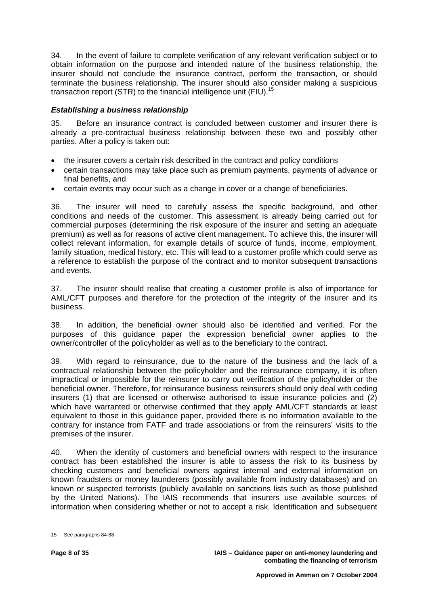34. In the event of failure to complete verification of any relevant verification subject or to obtain information on the purpose and intended nature of the business relationship, the insurer should not conclude the insurance contract, perform the transaction, or should terminate the business relationship. The insurer should also consider making a suspicious transaction report (STR) to the financial intelligence unit (FIU).<sup>[15](#page-9-0)</sup>

#### *Establishing a business relationship*

35. Before an insurance contract is concluded between customer and insurer there is already a pre-contractual business relationship between these two and possibly other parties. After a policy is taken out:

- the insurer covers a certain risk described in the contract and policy conditions
- certain transactions may take place such as premium payments, payments of advance or final benefits, and
- certain events may occur such as a change in cover or a change of beneficiaries.

36. The insurer will need to carefully assess the specific background, and other conditions and needs of the customer. This assessment is already being carried out for commercial purposes (determining the risk exposure of the insurer and setting an adequate premium) as well as for reasons of active client management. To achieve this, the insurer will collect relevant information, for example details of source of funds, income, employment, family situation, medical history, etc. This will lead to a customer profile which could serve as a reference to establish the purpose of the contract and to monitor subsequent transactions and events.

37. The insurer should realise that creating a customer profile is also of importance for AML/CFT purposes and therefore for the protection of the integrity of the insurer and its business.

38. In addition, the beneficial owner should also be identified and verified. For the purposes of this guidance paper the expression beneficial owner applies to the owner/controller of the policyholder as well as to the beneficiary to the contract.

39. With regard to reinsurance, due to the nature of the business and the lack of a contractual relationship between the policyholder and the reinsurance company, it is often impractical or impossible for the reinsurer to carry out verification of the policyholder or the beneficial owner. Therefore, for reinsurance business reinsurers should only deal with ceding insurers (1) that are licensed or otherwise authorised to issue insurance policies and (2) which have warranted or otherwise confirmed that they apply AML/CFT standards at least equivalent to those in this guidance paper, provided there is no information available to the contrary for instance from FATF and trade associations or from the reinsurers' visits to the premises of the insurer.

40. When the identity of customers and beneficial owners with respect to the insurance contract has been established the insurer is able to assess the risk to its business by checking customers and beneficial owners against internal and external information on known fraudsters or money launderers (possibly available from industry databases) and on known or suspected terrorists (publicly available on sanctions lists such as those published by the United Nations). The IAIS recommends that insurers use available sources of information when considering whether or not to accept a risk. Identification and subsequent

<span id="page-9-0"></span> $\overline{a}$ 15 See paragraphs 84-88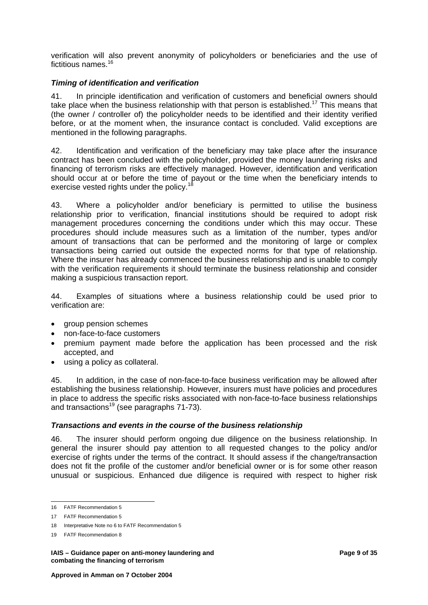verification will also prevent anonymity of policyholders or beneficiaries and the use of fictitious names.<sup>16</sup>

#### *Timing of identification and verification*

41. In principle identification and verification of customers and beneficial owners should take place when the business relationship with that person is established.<sup>17</sup> This means that (the owner / controller of) the policyholder needs to be identified and their identity verified before, or at the moment when, the insurance contact is concluded. Valid exceptions are mentioned in the following paragraphs.

42. Identification and verification of the beneficiary may take place after the insurance contract has been concluded with the policyholder, provided the money laundering risks and financing of terrorism risks are effectively managed. However, identification and verification should occur at or before the time of payout or the time when the beneficiary intends to exercise vested rights under the policy.<sup>18</sup>

43. Where a policyholder and/or beneficiary is permitted to utilise the business relationship prior to verification, financial institutions should be required to adopt risk management procedures concerning the conditions under which this may occur. These procedures should include measures such as a limitation of the number, types and/or amount of transactions that can be performed and the monitoring of large or complex transactions being carried out outside the expected norms for that type of relationship. Where the insurer has already commenced the business relationship and is unable to comply with the verification requirements it should terminate the business relationship and consider making a suspicious transaction report.

44. Examples of situations where a business relationship could be used prior to verification are:

- aroup pension schemes
- non-face-to-face customers
- premium payment made before the application has been processed and the risk accepted, and
- using a policy as collateral.

45. In addition, in the case of non-face-to-face business verification may be allowed after establishing the business relationship. However, insurers must have policies and procedures in place to address the specific risks associated with non-face-to-face business relationships and transactions<sup>19</sup> (see paragraphs  $71-73$ ).

#### *Transactions and events in the course of the business relationship*

46. The insurer should perform ongoing due diligence on the business relationship. In general the insurer should pay attention to all requested changes to the policy and/or exercise of rights under the terms of the contract. It should assess if the change/transaction does not fit the profile of the customer and/or beneficial owner or is for some other reason unusual or suspicious. Enhanced due diligence is required with respect to higher risk

l

**IAIS – Guidance paper on anti-money laundering and Page 9 of 35 Page 9 of 35 Page 9 of 35 Page 9 of 35 Page 9 of 35 Page 9 of 35 Page 9 of 35 Page 9 of 35 Page 9 of 35 Page 9 of 35 Page 9 of 35 Page 9 of 35 Page 9 of 36 P combating the financing of terrorism** 

<span id="page-10-0"></span><sup>16</sup> FATF Recommendation 5

<span id="page-10-1"></span><sup>17</sup> FATF Recommendation 5

<span id="page-10-2"></span><sup>18</sup> Interpretative Note no 6 to FATF Recommendation 5

<span id="page-10-3"></span><sup>19</sup> FATF Recommendation 8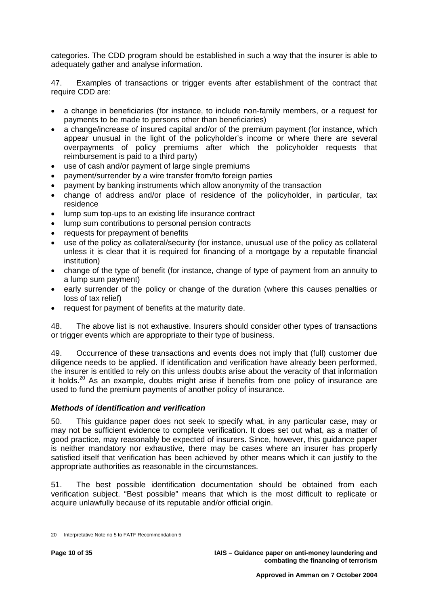categories. The CDD program should be established in such a way that the insurer is able to adequately gather and analyse information.

47. Examples of transactions or trigger events after establishment of the contract that require CDD are:

- a change in beneficiaries (for instance, to include non-family members, or a request for payments to be made to persons other than beneficiaries)
- a change/increase of insured capital and/or of the premium payment (for instance, which appear unusual in the light of the policyholder's income or where there are several overpayments of policy premiums after which the policyholder requests that reimbursement is paid to a third party)
- use of cash and/or payment of large single premiums
- payment/surrender by a wire transfer from/to foreign parties
- payment by banking instruments which allow anonymity of the transaction
- change of address and/or place of residence of the policyholder, in particular, tax residence
- lump sum top-ups to an existing life insurance contract
- lump sum contributions to personal pension contracts
- requests for prepayment of benefits
- use of the policy as collateral/security (for instance, unusual use of the policy as collateral unless it is clear that it is required for financing of a mortgage by a reputable financial institution)
- change of the type of benefit (for instance, change of type of payment from an annuity to a lump sum payment)
- early surrender of the policy or change of the duration (where this causes penalties or loss of tax relief)
- request for payment of benefits at the maturity date.

48. The above list is not exhaustive. Insurers should consider other types of transactions or trigger events which are appropriate to their type of business.

49. Occurrence of these transactions and events does not imply that (full) customer due diligence needs to be applied. If identification and verification have already been performed, the insurer is entitled to rely on this unless doubts arise about the veracity of that information it holds.<sup>20</sup> As an example, doubts might arise if benefits from one policy of insurance are used to fund the premium payments of another policy of insurance.

#### *Methods of identification and verification*

50. This guidance paper does not seek to specify what, in any particular case, may or may not be sufficient evidence to complete verification. It does set out what, as a matter of good practice, may reasonably be expected of insurers. Since, however, this guidance paper is neither mandatory nor exhaustive, there may be cases where an insurer has properly satisfied itself that verification has been achieved by other means which it can justify to the appropriate authorities as reasonable in the circumstances.

51. The best possible identification documentation should be obtained from each verification subject. "Best possible" means that which is the most difficult to replicate or acquire unlawfully because of its reputable and/or official origin.

<span id="page-11-0"></span> $\overline{a}$ 20 Interpretative Note no 5 to FATF Recommendation 5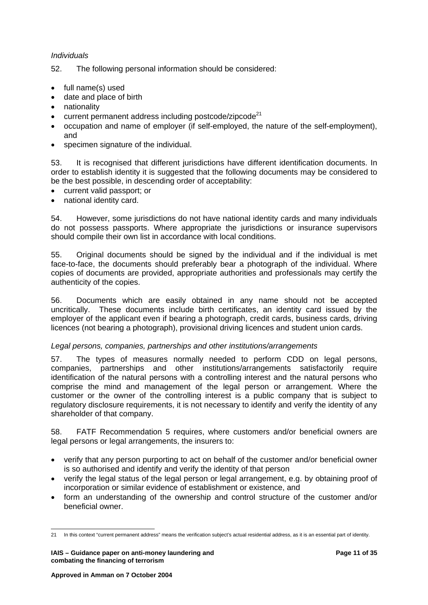#### *Individuals*

52. The following personal information should be considered:

- full name(s) used
- date and place of birth
- nationality
- current permanent address including postcode/zipcode<sup>21</sup>
- occupation and name of employer (if self-employed, the nature of the self-employment), and
- specimen signature of the individual.

53. It is recognised that different jurisdictions have different identification documents. In order to establish identity it is suggested that the following documents may be considered to be the best possible, in descending order of acceptability:

- current valid passport; or
- national identity card.

54. However, some jurisdictions do not have national identity cards and many individuals do not possess passports. Where appropriate the jurisdictions or insurance supervisors should compile their own list in accordance with local conditions.

55. Original documents should be signed by the individual and if the individual is met face-to-face, the documents should preferably bear a photograph of the individual. Where copies of documents are provided, appropriate authorities and professionals may certify the authenticity of the copies.

56. Documents which are easily obtained in any name should not be accepted uncritically. These documents include birth certificates, an identity card issued by the employer of the applicant even if bearing a photograph, credit cards, business cards, driving licences (not bearing a photograph), provisional driving licences and student union cards.

#### *Legal persons, companies, partnerships and other institutions/arrangements*

57. The types of measures normally needed to perform CDD on legal persons, companies, partnerships and other institutions/arrangements satisfactorily require identification of the natural persons with a controlling interest and the natural persons who comprise the mind and management of the legal person or arrangement. Where the customer or the owner of the controlling interest is a public company that is subject to regulatory disclosure requirements, it is not necessary to identify and verify the identity of any shareholder of that company.

58. FATF Recommendation 5 requires, where customers and/or beneficial owners are legal persons or legal arrangements, the insurers to:

- verify that any person purporting to act on behalf of the customer and/or beneficial owner is so authorised and identify and verify the identity of that person
- verify the legal status of the legal person or legal arrangement, e.g. by obtaining proof of incorporation or similar evidence of establishment or existence, and
- form an understanding of the ownership and control structure of the customer and/or beneficial owner.

<span id="page-12-0"></span> $\overline{a}$ 21 In this context "current permanent address" means the verification subject's actual residential address, as it is an essential part of identity.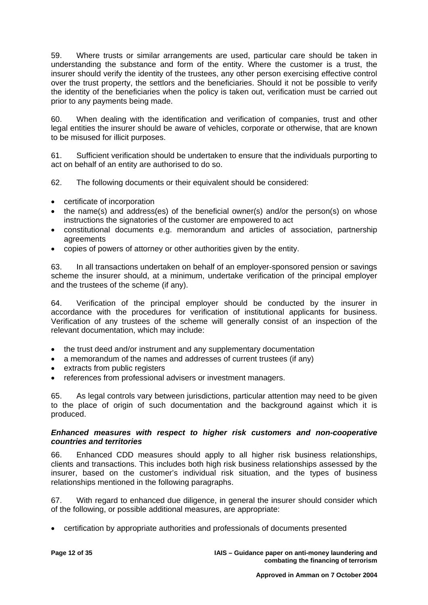59. Where trusts or similar arrangements are used, particular care should be taken in understanding the substance and form of the entity. Where the customer is a trust, the insurer should verify the identity of the trustees, any other person exercising effective control over the trust property, the settlors and the beneficiaries. Should it not be possible to verify the identity of the beneficiaries when the policy is taken out, verification must be carried out prior to any payments being made.

60. When dealing with the identification and verification of companies, trust and other legal entities the insurer should be aware of vehicles, corporate or otherwise, that are known to be misused for illicit purposes.

61. Sufficient verification should be undertaken to ensure that the individuals purporting to act on behalf of an entity are authorised to do so.

62. The following documents or their equivalent should be considered:

- certificate of incorporation
- the name(s) and address(es) of the beneficial owner(s) and/or the person(s) on whose instructions the signatories of the customer are empowered to act
- constitutional documents e.g. memorandum and articles of association, partnership agreements
- copies of powers of attorney or other authorities given by the entity.

63. In all transactions undertaken on behalf of an employer-sponsored pension or savings scheme the insurer should, at a minimum, undertake verification of the principal employer and the trustees of the scheme (if any).

64. Verification of the principal employer should be conducted by the insurer in accordance with the procedures for verification of institutional applicants for business. Verification of any trustees of the scheme will generally consist of an inspection of the relevant documentation, which may include:

- the trust deed and/or instrument and any supplementary documentation
- a memorandum of the names and addresses of current trustees (if any)
- extracts from public registers
- references from professional advisers or investment managers.

65. As legal controls vary between jurisdictions, particular attention may need to be given to the place of origin of such documentation and the background against which it is produced.

#### *Enhanced measures with respect to higher risk customers and non-cooperative countries and territories*

66. Enhanced CDD measures should apply to all higher risk business relationships, clients and transactions. This includes both high risk business relationships assessed by the insurer, based on the customer's individual risk situation, and the types of business relationships mentioned in the following paragraphs.

67. With regard to enhanced due diligence, in general the insurer should consider which of the following, or possible additional measures, are appropriate:

• certification by appropriate authorities and professionals of documents presented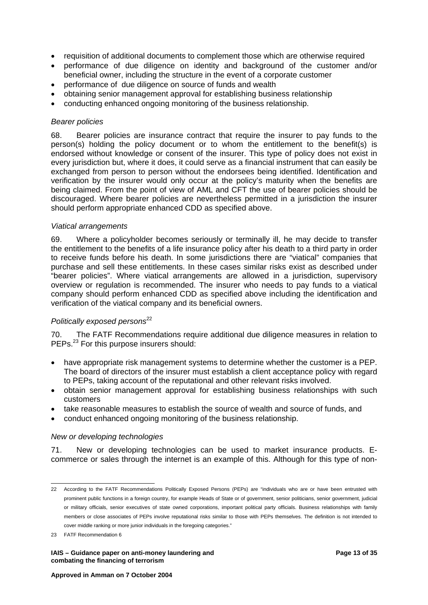- requisition of additional documents to complement those which are otherwise required
- performance of due diligence on identity and background of the customer and/or beneficial owner, including the structure in the event of a corporate customer
- performance of due diligence on source of funds and wealth
- obtaining senior management approval for establishing business relationship
- conducting enhanced ongoing monitoring of the business relationship.

#### *Bearer policies*

68. Bearer policies are insurance contract that require the insurer to pay funds to the person(s) holding the policy document or to whom the entitlement to the benefit(s) is endorsed without knowledge or consent of the insurer. This type of policy does not exist in every jurisdiction but, where it does, it could serve as a financial instrument that can easily be exchanged from person to person without the endorsees being identified. Identification and verification by the insurer would only occur at the policy's maturity when the benefits are being claimed. From the point of view of AML and CFT the use of bearer policies should be discouraged. Where bearer policies are nevertheless permitted in a jurisdiction the insurer should perform appropriate enhanced CDD as specified above.

#### *Viatical arrangements*

69. Where a policyholder becomes seriously or terminally ill, he may decide to transfer the entitlement to the benefits of a life insurance policy after his death to a third party in order to receive funds before his death. In some jurisdictions there are "viatical" companies that purchase and sell these entitlements. In these cases similar risks exist as described under "bearer policies". Where viatical arrangements are allowed in a jurisdiction, supervisory overview or regulation is recommended. The insurer who needs to pay funds to a viatical company should perform enhanced CDD as specified above including the identification and verification of the viatical company and its beneficial owners.

#### *Politically exposed persons*<sup>[22](#page-14-0)</sup>

70. The FATF Recommendations require additional due diligence measures in relation to PEPs.<sup>23</sup> For this purpose insurers should:

- have appropriate risk management systems to determine whether the customer is a PEP. The board of directors of the insurer must establish a client acceptance policy with regard to PEPs, taking account of the reputational and other relevant risks involved.
- obtain senior management approval for establishing business relationships with such customers
- take reasonable measures to establish the source of wealth and source of funds, and
- conduct enhanced ongoing monitoring of the business relationship.

#### *New or developing technologies*

71. New or developing technologies can be used to market insurance products. Ecommerce or sales through the internet is an example of this. Although for this type of non-

 $\overline{a}$ 

<span id="page-14-0"></span><sup>22</sup> According to the FATF Recommendations Politically Exposed Persons (PEPs) are "individuals who are or have been entrusted with prominent public functions in a foreign country, for example Heads of State or of government, senior politicians, senior government, judicial or military officials, senior executives of state owned corporations, important political party officials. Business relationships with family members or close associates of PEPs involve reputational risks similar to those with PEPs themselves. The definition is not intended to cover middle ranking or more junior individuals in the foregoing categories."

<span id="page-14-1"></span><sup>23</sup> FATF Recommendation 6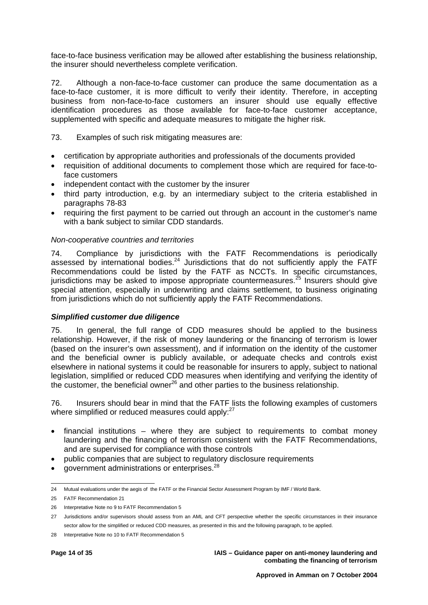face-to-face business verification may be allowed after establishing the business relationship, the insurer should nevertheless complete verification.

72. Although a non-face-to-face customer can produce the same documentation as a face-to-face customer, it is more difficult to verify their identity. Therefore, in accepting business from non-face-to-face customers an insurer should use equally effective identification procedures as those available for face-to-face customer acceptance, supplemented with specific and adequate measures to mitigate the higher risk.

#### 73. Examples of such risk mitigating measures are:

- certification by appropriate authorities and professionals of the documents provided
- requisition of additional documents to complement those which are required for face-toface customers
- independent contact with the customer by the insurer
- third party introduction, e.g. by an intermediary subject to the criteria established in paragraphs 78-83
- requiring the first payment to be carried out through an account in the customer's name with a bank subject to similar CDD standards.

#### *Non-cooperative countries and territories*

74. Compliance by jurisdictions with the FATF Recommendations is periodically assessed by international bodies.[24](#page-15-0) Jurisdictions that do not sufficiently apply the FATF Recommendations could be listed by the FATF as NCCTs. In specific circumstances, jurisdictions may be asked to impose appropriate countermeasures. $25$  Insurers should give special attention, especially in underwriting and claims settlement, to business originating from jurisdictions which do not sufficiently apply the FATF Recommendations.

#### *Simplified customer due diligence*

75. In general, the full range of CDD measures should be applied to the business relationship. However, if the risk of money laundering or the financing of terrorism is lower (based on the insurer's own assessment), and if information on the identity of the customer and the beneficial owner is publicly available, or adequate checks and controls exist elsewhere in national systems it could be reasonable for insurers to apply, subject to national legislation, simplified or reduced CDD measures when identifying and verifying the identity of the customer, the beneficial owner $^{26}$  and other parties to the business relationship.

76. Insurers should bear in mind that the FATF lists the following examples of customers where simplified or reduced measures could apply:<sup>[27](#page-15-3)</sup>

- financial institutions where they are subject to requirements to combat money laundering and the financing of terrorism consistent with the FATF Recommendations, and are supervised for compliance with those controls
- public companies that are subject to regulatory disclosure requirements
- government administrations or enterprises.[28](#page-15-4)

<span id="page-15-0"></span> $\overline{a}$ 24 Mutual evaluations under the aegis of the FATF or the Financial Sector Assessment Program by IMF / World Bank.

<span id="page-15-1"></span><sup>25</sup> FATF Recommendation 21

<span id="page-15-2"></span><sup>26</sup> Interpretative Note no 9 to FATF Recommendation 5

<span id="page-15-3"></span><sup>27</sup> Jurisdictions and/or supervisors should assess from an AML and CFT perspective whether the specific circumstances in their insurance sector allow for the simplified or reduced CDD measures, as presented in this and the following paragraph, to be applied.

<span id="page-15-4"></span><sup>28</sup> Interpretative Note no 10 to FATF Recommendation 5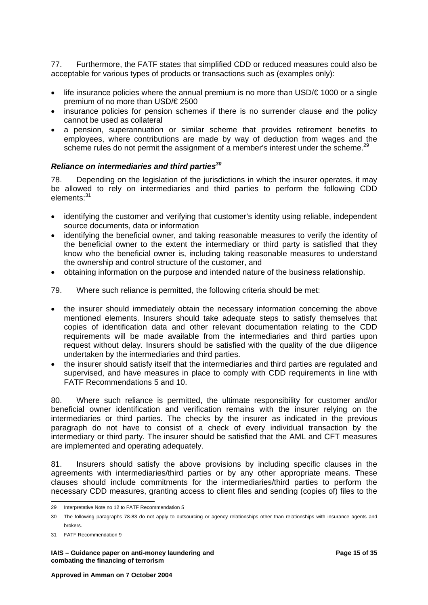77. Furthermore, the FATF states that simplified CDD or reduced measures could also be acceptable for various types of products or transactions such as (examples only):

- life insurance policies where the annual premium is no more than  $\text{USD}/\epsilon$  1000 or a single premium of no more than USD/€ 2500
- insurance policies for pension schemes if there is no surrender clause and the policy cannot be used as collateral
- a pension, superannuation or similar scheme that provides retirement benefits to employees, where contributions are made by way of deduction from wages and the scheme rules do not permit the assignment of a member's interest under the scheme.<sup>[29](#page-16-0)</sup>

#### *Reliance on intermediaries and third parties[30](#page-16-1)*

78. Depending on the legislation of the jurisdictions in which the insurer operates, it may be allowed to rely on intermediaries and third parties to perform the following CDD elements: [31](#page-16-2)

- identifying the customer and verifying that customer's identity using reliable, independent source documents, data or information
- identifying the beneficial owner, and taking reasonable measures to verify the identity of the beneficial owner to the extent the intermediary or third party is satisfied that they know who the beneficial owner is, including taking reasonable measures to understand the ownership and control structure of the customer, and
- obtaining information on the purpose and intended nature of the business relationship.
- 79. Where such reliance is permitted, the following criteria should be met:
- the insurer should immediately obtain the necessary information concerning the above mentioned elements. Insurers should take adequate steps to satisfy themselves that copies of identification data and other relevant documentation relating to the CDD requirements will be made available from the intermediaries and third parties upon request without delay. Insurers should be satisfied with the quality of the due diligence undertaken by the intermediaries and third parties.
- the insurer should satisfy itself that the intermediaries and third parties are regulated and supervised, and have measures in place to comply with CDD requirements in line with FATF Recommendations 5 and 10.

80. Where such reliance is permitted, the ultimate responsibility for customer and/or beneficial owner identification and verification remains with the insurer relying on the intermediaries or third parties. The checks by the insurer as indicated in the previous paragraph do not have to consist of a check of every individual transaction by the intermediary or third party. The insurer should be satisfied that the AML and CFT measures are implemented and operating adequately.

81. Insurers should satisfy the above provisions by including specific clauses in the agreements with intermediaries/third parties or by any other appropriate means. These clauses should include commitments for the intermediaries/third parties to perform the necessary CDD measures, granting access to client files and sending (copies of) files to the

<span id="page-16-0"></span>l 29 Interpretative Note no 12 to FATF Recommendation 5

<span id="page-16-1"></span><sup>30</sup> The following paragraphs 78-83 do not apply to outsourcing or agency relationships other than relationships with insurance agents and brokers.

<span id="page-16-2"></span><sup>31</sup> FATF Recommendation 9

**IAIS – Guidance paper on anti-money laundering and Page 15 of 35 combating the financing of terrorism**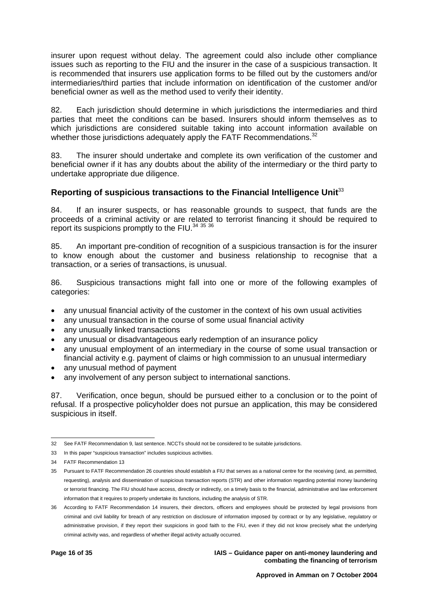insurer upon request without delay. The agreement could also include other compliance issues such as reporting to the FIU and the insurer in the case of a suspicious transaction. It is recommended that insurers use application forms to be filled out by the customers and/or intermediaries/third parties that include information on identification of the customer and/or beneficial owner as well as the method used to verify their identity.

82. Each jurisdiction should determine in which jurisdictions the intermediaries and third parties that meet the conditions can be based. Insurers should inform themselves as to which jurisdictions are considered suitable taking into account information available on whether those jurisdictions adequately apply the FATF Recommendations. $32$ 

83. The insurer should undertake and complete its own verification of the customer and beneficial owner if it has any doubts about the ability of the intermediary or the third party to undertake appropriate due diligence.

#### **Reporting of suspicious transactions to the Financial Intelligence Unit**[33](#page-17-1)

84. If an insurer suspects, or has reasonable grounds to suspect, that funds are the proceeds of a criminal activity or are related to terrorist financing it should be required to report its suspicions promptly to the FIU.<sup>[34](#page-17-2) [35](#page-17-3) [36](#page-17-4)</sup>

85. An important pre-condition of recognition of a suspicious transaction is for the insurer to know enough about the customer and business relationship to recognise that a transaction, or a series of transactions, is unusual.

86. Suspicious transactions might fall into one or more of the following examples of categories:

- any unusual financial activity of the customer in the context of his own usual activities
- any unusual transaction in the course of some usual financial activity
- any unusually linked transactions
- any unusual or disadvantageous early redemption of an insurance policy
- any unusual employment of an intermediary in the course of some usual transaction or financial activity e.g. payment of claims or high commission to an unusual intermediary
- any unusual method of payment
- any involvement of any person subject to international sanctions.

87. Verification, once begun, should be pursued either to a conclusion or to the point of refusal. If a prospective policyholder does not pursue an application, this may be considered suspicious in itself.

<span id="page-17-0"></span> $\overline{a}$ 32 See FATF Recommendation 9, last sentence. NCCTs should not be considered to be suitable jurisdictions.

<span id="page-17-1"></span><sup>33</sup> In this paper "suspicious transaction" includes suspicious activities.

<span id="page-17-2"></span><sup>34</sup> FATF Recommendation 13

<span id="page-17-3"></span><sup>35</sup> Pursuant to FATF Recommendation 26 countries should establish a FIU that serves as a national centre for the receiving (and, as permitted, requesting), analysis and dissemination of suspicious transaction reports (STR) and other information regarding potential money laundering or terrorist financing. The FIU should have access, directly or indirectly, on a timely basis to the financial, administrative and law enforcement information that it requires to properly undertake its functions, including the analysis of STR.

<span id="page-17-4"></span><sup>36</sup> According to FATF Recommendation 14 insurers, their directors, officers and employees should be protected by legal provisions from criminal and civil liability for breach of any restriction on disclosure of information imposed by contract or by any legislative, regulatory or administrative provision, if they report their suspicions in good faith to the FIU, even if they did not know precisely what the underlying criminal activity was, and regardless of whether illegal activity actually occurred.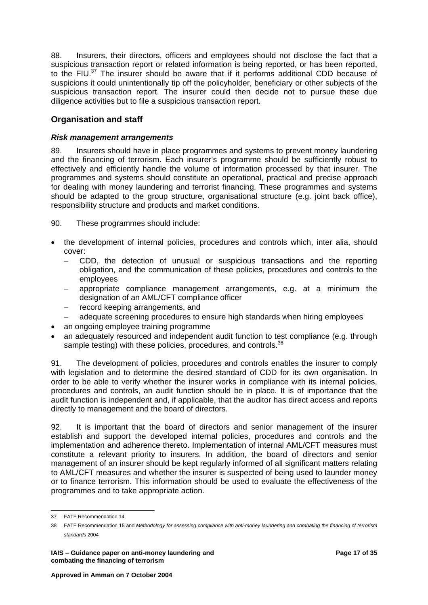88. Insurers, their directors, officers and employees should not disclose the fact that a suspicious transaction report or related information is being reported, or has been reported, to the FIU.<sup>37</sup> The insurer should be aware that if it performs additional CDD because of suspicions it could unintentionally tip off the policyholder, beneficiary or other subjects of the suspicious transaction report. The insurer could then decide not to pursue these due diligence activities but to file a suspicious transaction report.

### **Organisation and staff**

#### *Risk management arrangements*

89. Insurers should have in place programmes and systems to prevent money laundering and the financing of terrorism. Each insurer's programme should be sufficiently robust to effectively and efficiently handle the volume of information processed by that insurer. The programmes and systems should constitute an operational, practical and precise approach for dealing with money laundering and terrorist financing. These programmes and systems should be adapted to the group structure, organisational structure (e.g. joint back office), responsibility structure and products and market conditions.

90. These programmes should include:

- the development of internal policies, procedures and controls which, inter alia, should cover:
	- − CDD, the detection of unusual or suspicious transactions and the reporting obligation, and the communication of these policies, procedures and controls to the employees
	- appropriate compliance management arrangements, e.g. at a minimum the designation of an AML/CFT compliance officer
	- − record keeping arrangements, and
	- − adequate screening procedures to ensure high standards when hiring employees
- an ongoing employee training programme
- an adequately resourced and independent audit function to test compliance (e.g. through sample testing) with these policies, procedures, and controls.<sup>[38](#page-18-1)</sup>

91. The development of policies, procedures and controls enables the insurer to comply with legislation and to determine the desired standard of CDD for its own organisation. In order to be able to verify whether the insurer works in compliance with its internal policies, procedures and controls, an audit function should be in place. It is of importance that the audit function is independent and, if applicable, that the auditor has direct access and reports directly to management and the board of directors.

92. It is important that the board of directors and senior management of the insurer establish and support the developed internal policies, procedures and controls and the implementation and adherence thereto. Implementation of internal AML/CFT measures must constitute a relevant priority to insurers. In addition, the board of directors and senior management of an insurer should be kept regularly informed of all significant matters relating to AML/CFT measures and whether the insurer is suspected of being used to launder money or to finance terrorism. This information should be used to evaluate the effectiveness of the programmes and to take appropriate action.

<span id="page-18-0"></span> $\overline{a}$ 37 FATF Recommendation 14

<span id="page-18-1"></span><sup>38</sup> FATF Recommendation 15 and *Methodology for assessing compliance with anti-money laundering and combating the financing of terrorism standards* 2004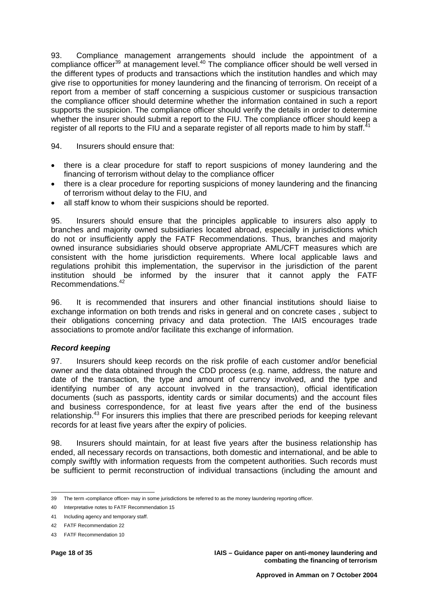93. Compliance management arrangements should include the appointment of a compliance officer<sup>39</sup> at management level.<sup>40</sup> The compliance officer should be well versed in the different types of products and transactions which the institution handles and which may give rise to opportunities for money laundering and the financing of terrorism. On receipt of a report from a member of staff concerning a suspicious customer or suspicious transaction the compliance officer should determine whether the information contained in such a report supports the suspicion. The compliance officer should verify the details in order to determine whether the insurer should submit a report to the FIU. The compliance officer should keep a register of all reports to the FIU and a separate register of all reports made to him by staff.

#### 94. Insurers should ensure that:

- there is a clear procedure for staff to report suspicions of money laundering and the financing of terrorism without delay to the compliance officer
- there is a clear procedure for reporting suspicions of money laundering and the financing of terrorism without delay to the FIU, and
- all staff know to whom their suspicions should be reported.

95. Insurers should ensure that the principles applicable to insurers also apply to branches and majority owned subsidiaries located abroad, especially in jurisdictions which do not or insufficiently apply the FATF Recommendations. Thus, branches and majority owned insurance subsidiaries should observe appropriate AML/CFT measures which are consistent with the home jurisdiction requirements. Where local applicable laws and regulations prohibit this implementation, the supervisor in the jurisdiction of the parent institution should be informed by the insurer that it cannot apply the FATF Recommendations.[42](#page-19-3) 

96. It is recommended that insurers and other financial institutions should liaise to exchange information on both trends and risks in general and on concrete cases , subject to their obligations concerning privacy and data protection. The IAIS encourages trade associations to promote and/or facilitate this exchange of information.

#### *Record keeping*

97. Insurers should keep records on the risk profile of each customer and/or beneficial owner and the data obtained through the CDD process (e.g. name, address, the nature and date of the transaction, the type and amount of currency involved, and the type and identifying number of any account involved in the transaction), official identification documents (such as passports, identity cards or similar documents) and the account files and business correspondence, for at least five years after the end of the business relationship.<sup>43</sup> For insurers this implies that there are prescribed periods for keeping relevant records for at least five years after the expiry of policies.

98. Insurers should maintain, for at least five years after the business relationship has ended, all necessary records on transactions, both domestic and international, and be able to comply swiftly with information requests from the competent authorities. Such records must be sufficient to permit reconstruction of individual transactions (including the amount and

<span id="page-19-0"></span> $\overline{a}$ 39 The term *«*compliance officer, may in some jurisdictions be referred to as the money laundering reporting officer.<br>

<span id="page-19-1"></span><sup>40</sup> Interpretative notes to FATF Recommendation 15

<span id="page-19-2"></span><sup>41</sup> Including agency and temporary staff.

<span id="page-19-3"></span><sup>42</sup> FATF Recommendation 22

<span id="page-19-4"></span><sup>43</sup> FATF Recommendation 10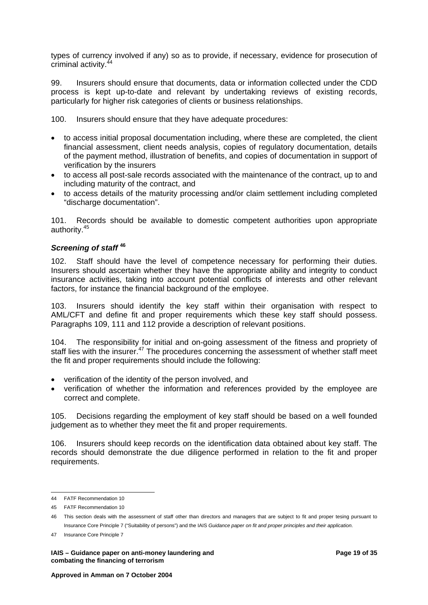types of currency involved if any) so as to provide, if necessary, evidence for prosecution of criminal activity.<sup>4</sup>

99. Insurers should ensure that documents, data or information collected under the CDD process is kept up-to-date and relevant by undertaking reviews of existing records, particularly for higher risk categories of clients or business relationships.

100. Insurers should ensure that they have adequate procedures:

- to access initial proposal documentation including, where these are completed, the client financial assessment, client needs analysis, copies of regulatory documentation, details of the payment method, illustration of benefits, and copies of documentation in support of verification by the insurers
- to access all post-sale records associated with the maintenance of the contract, up to and including maturity of the contract, and
- to access details of the maturity processing and/or claim settlement including completed "discharge documentation".

101. Records should be available to domestic competent authorities upon appropriate authority.[45](#page-20-1)

#### *Screening of staff* **[46](#page-20-2)**

102. Staff should have the level of competence necessary for performing their duties. Insurers should ascertain whether they have the appropriate ability and integrity to conduct insurance activities, taking into account potential conflicts of interests and other relevant factors, for instance the financial background of the employee.

103. Insurers should identify the key staff within their organisation with respect to AML/CFT and define fit and proper requirements which these key staff should possess. Paragraphs 109, 111 and 112 provide a description of relevant positions.

104. The responsibility for initial and on-going assessment of the fitness and propriety of staff lies with the insurer.<sup>47</sup> The procedures concerning the assessment of whether staff meet the fit and proper requirements should include the following:

- verification of the identity of the person involved, and
- verification of whether the information and references provided by the employee are correct and complete.

105. Decisions regarding the employment of key staff should be based on a well founded judgement as to whether they meet the fit and proper requirements.

106. Insurers should keep records on the identification data obtained about key staff. The records should demonstrate the due diligence performed in relation to the fit and proper requirements.

 $\overline{a}$ 

**IAIS – Guidance paper on anti-money laundering and Page 19 of 35 and Page 19 of 35 and Page 19 of 35 and Page 19 of 35 and Page 19 of 35 and Page 19 of 35 and Page 19 of 35 and Page 19 of 35 and Page 19 of 35 and Page 19 combating the financing of terrorism** 

<span id="page-20-0"></span><sup>44</sup> FATF Recommendation 10

<span id="page-20-1"></span><sup>45</sup> FATF Recommendation 10

<span id="page-20-2"></span><sup>46</sup> This section deals with the assessment of staff other than directors and managers that are subject to fit and proper tesing pursuant to Insurance Core Principle 7 ("Suitability of persons") and the IAIS *Guidance paper on fit and proper principles and their application*.

<span id="page-20-3"></span><sup>47</sup> Insurance Core Principle 7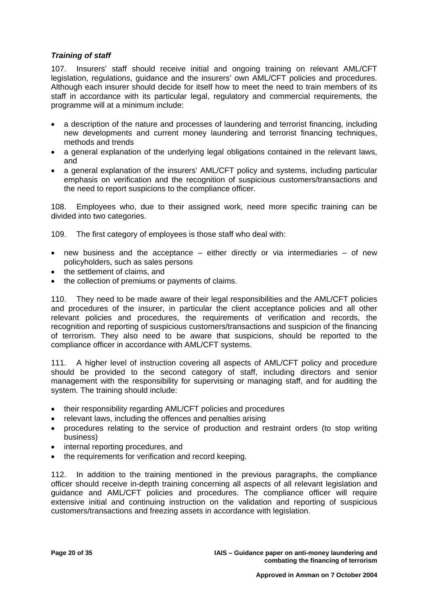#### *Training of staff*

107. Insurers' staff should receive initial and ongoing training on relevant AML/CFT legislation, regulations, guidance and the insurers' own AML/CFT policies and procedures. Although each insurer should decide for itself how to meet the need to train members of its staff in accordance with its particular legal, regulatory and commercial requirements, the programme will at a minimum include:

- a description of the nature and processes of laundering and terrorist financing, including new developments and current money laundering and terrorist financing techniques, methods and trends
- a general explanation of the underlying legal obligations contained in the relevant laws, and
- a general explanation of the insurers' AML/CFT policy and systems, including particular emphasis on verification and the recognition of suspicious customers/transactions and the need to report suspicions to the compliance officer.

108. Employees who, due to their assigned work, need more specific training can be divided into two categories.

109. The first category of employees is those staff who deal with:

- new business and the acceptance either directly or via intermediaries of new policyholders, such as sales persons
- the settlement of claims, and
- the collection of premiums or payments of claims.

110. They need to be made aware of their legal responsibilities and the AML/CFT policies and procedures of the insurer, in particular the client acceptance policies and all other relevant policies and procedures, the requirements of verification and records, the recognition and reporting of suspicious customers/transactions and suspicion of the financing of terrorism. They also need to be aware that suspicions, should be reported to the compliance officer in accordance with AML/CFT systems.

111. A higher level of instruction covering all aspects of AML/CFT policy and procedure should be provided to the second category of staff, including directors and senior management with the responsibility for supervising or managing staff, and for auditing the system. The training should include:

- their responsibility regarding AML/CFT policies and procedures
- relevant laws, including the offences and penalties arising
- procedures relating to the service of production and restraint orders (to stop writing business)
- internal reporting procedures, and
- the requirements for verification and record keeping.

112. In addition to the training mentioned in the previous paragraphs, the compliance officer should receive in-depth training concerning all aspects of all relevant legislation and guidance and AML/CFT policies and procedures. The compliance officer will require extensive initial and continuing instruction on the validation and reporting of suspicious customers/transactions and freezing assets in accordance with legislation.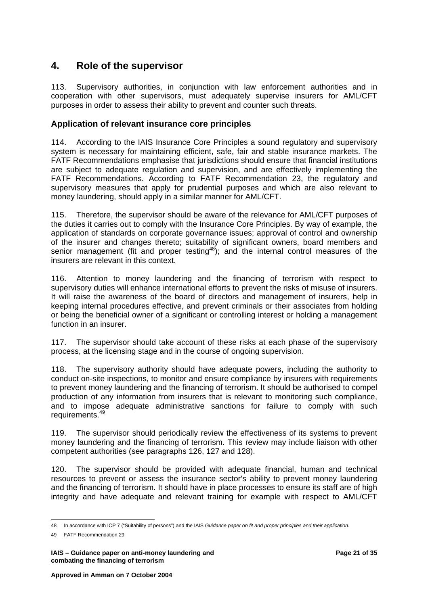## <span id="page-22-0"></span>**4. Role of the supervisor**

113. Supervisory authorities, in conjunction with law enforcement authorities and in cooperation with other supervisors, must adequately supervise insurers for AML/CFT purposes in order to assess their ability to prevent and counter such threats.

#### **Application of relevant insurance core principles**

114. According to the IAIS Insurance Core Principles a sound regulatory and supervisory system is necessary for maintaining efficient, safe, fair and stable insurance markets. The FATF Recommendations emphasise that jurisdictions should ensure that financial institutions are subject to adequate regulation and supervision, and are effectively implementing the FATF Recommendations. According to FATF Recommendation 23, the regulatory and supervisory measures that apply for prudential purposes and which are also relevant to money laundering, should apply in a similar manner for AML/CFT.

115. Therefore, the supervisor should be aware of the relevance for AML/CFT purposes of the duties it carries out to comply with the Insurance Core Principles. By way of example, the application of standards on corporate governance issues; approval of control and ownership of the insurer and changes thereto; suitability of significant owners, board members and senior management (fit and proper testing<sup>48</sup>); and the internal control measures of the insurers are relevant in this context.

116. Attention to money laundering and the financing of terrorism with respect to supervisory duties will enhance international efforts to prevent the risks of misuse of insurers. It will raise the awareness of the board of directors and management of insurers, help in keeping internal procedures effective, and prevent criminals or their associates from holding or being the beneficial owner of a significant or controlling interest or holding a management function in an insurer.

117. The supervisor should take account of these risks at each phase of the supervisory process, at the licensing stage and in the course of ongoing supervision.

118. The supervisory authority should have adequate powers, including the authority to conduct on-site inspections, to monitor and ensure compliance by insurers with requirements to prevent money laundering and the financing of terrorism. It should be authorised to compel production of any information from insurers that is relevant to monitoring such compliance, and to impose adequate administrative sanctions for failure to comply with such requirements.[49](#page-22-2)

119. The supervisor should periodically review the effectiveness of its systems to prevent money laundering and the financing of terrorism. This review may include liaison with other competent authorities (see paragraphs 126, 127 and 128).

120. The supervisor should be provided with adequate financial, human and technical resources to prevent or assess the insurance sector's ability to prevent money laundering and the financing of terrorism. It should have in place processes to ensure its staff are of high integrity and have adequate and relevant training for example with respect to AML/CFT

 $\overline{a}$ 48 In accordance with ICP 7 ("Suitability of persons") and the IAIS *Guidance paper on fit and proper principles and their application*.

<span id="page-22-2"></span><span id="page-22-1"></span><sup>49</sup> FATF Recommendation 29

**IAIS – Guidance paper on anti-money laundering and Page 21 of 35 Page 21 of 35 combating the financing of terrorism**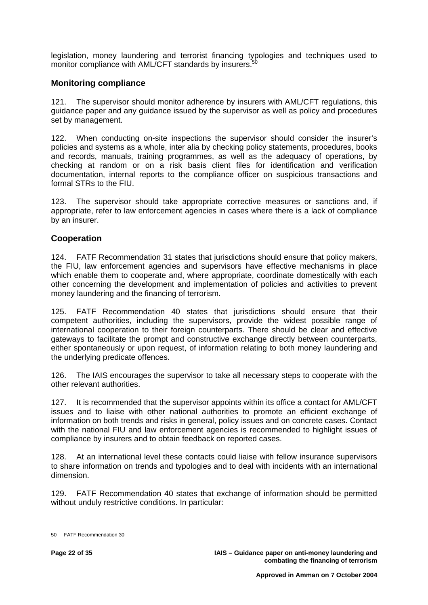legislation, money laundering and terrorist financing typologies and techniques used to monitor compliance with AML/CFT standards by insurers.<sup>5</sup>

#### **Monitoring compliance**

121. The supervisor should monitor adherence by insurers with AML/CFT regulations, this guidance paper and any guidance issued by the supervisor as well as policy and procedures set by management.

122. When conducting on-site inspections the supervisor should consider the insurer's policies and systems as a whole, inter alia by checking policy statements, procedures, books and records, manuals, training programmes, as well as the adequacy of operations, by checking at random or on a risk basis client files for identification and verification documentation, internal reports to the compliance officer on suspicious transactions and formal STRs to the FIU.

123. The supervisor should take appropriate corrective measures or sanctions and, if appropriate, refer to law enforcement agencies in cases where there is a lack of compliance by an insurer.

#### **Cooperation**

124. FATF Recommendation 31 states that jurisdictions should ensure that policy makers, the FIU, law enforcement agencies and supervisors have effective mechanisms in place which enable them to cooperate and, where appropriate, coordinate domestically with each other concerning the development and implementation of policies and activities to prevent money laundering and the financing of terrorism.

125. FATF Recommendation 40 states that jurisdictions should ensure that their competent authorities, including the supervisors, provide the widest possible range of international cooperation to their foreign counterparts. There should be clear and effective gateways to facilitate the prompt and constructive exchange directly between counterparts, either spontaneously or upon request, of information relating to both money laundering and the underlying predicate offences.

126. The IAIS encourages the supervisor to take all necessary steps to cooperate with the other relevant authorities.

127. It is recommended that the supervisor appoints within its office a contact for AML/CFT issues and to liaise with other national authorities to promote an efficient exchange of information on both trends and risks in general, policy issues and on concrete cases. Contact with the national FIU and law enforcement agencies is recommended to highlight issues of compliance by insurers and to obtain feedback on reported cases.

128. At an international level these contacts could liaise with fellow insurance supervisors to share information on trends and typologies and to deal with incidents with an international dimension.

129. FATF Recommendation 40 states that exchange of information should be permitted without unduly restrictive conditions. In particular:

<span id="page-23-0"></span> $\overline{a}$ 50 FATF Recommendation 30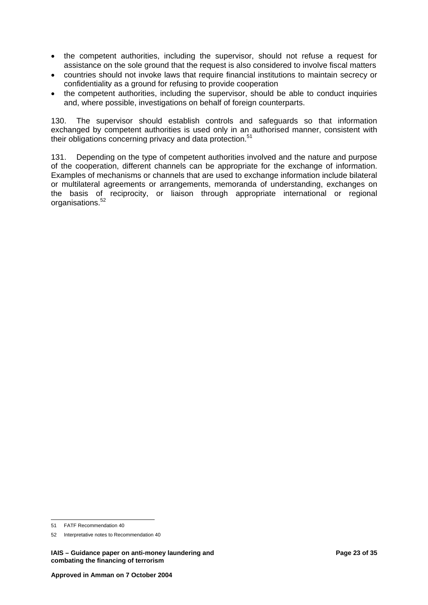- the competent authorities, including the supervisor, should not refuse a request for assistance on the sole ground that the request is also considered to involve fiscal matters
- countries should not invoke laws that require financial institutions to maintain secrecy or confidentiality as a ground for refusing to provide cooperation
- the competent authorities, including the supervisor, should be able to conduct inquiries and, where possible, investigations on behalf of foreign counterparts.

130. The supervisor should establish controls and safeguards so that information exchanged by competent authorities is used only in an authorised manner, consistent with their obligations concerning privacy and data protection.<sup>[51](#page-24-0)</sup>

131. Depending on the type of competent authorities involved and the nature and purpose of the cooperation, different channels can be appropriate for the exchange of information. Examples of mechanisms or channels that are used to exchange information include bilateral or multilateral agreements or arrangements, memoranda of understanding, exchanges on the basis of reciprocity, or liaison through appropriate international or regional organisations.[52](#page-24-1) 

<span id="page-24-0"></span> $\overline{a}$ 51 FATF Recommendation 40

<span id="page-24-1"></span><sup>52</sup> Interpretative notes to Recommendation 40

**IAIS – Guidance paper on anti-money laundering and Page 23 of 35 between 19 and Page 23 of 35 and Page 23 of 35 combating the financing of terrorism**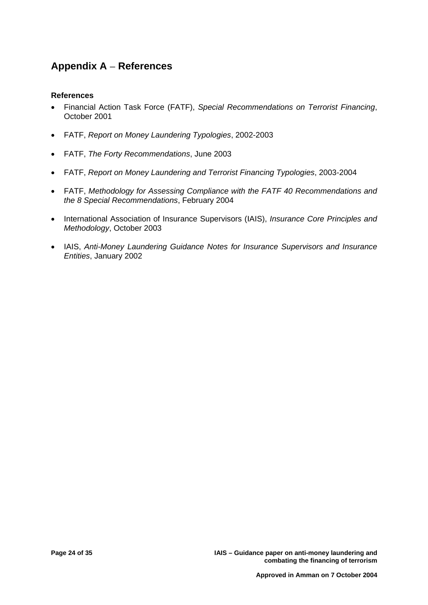# <span id="page-25-0"></span>**Appendix A** − **References**

#### **References**

- Financial Action Task Force (FATF), *Special Recommendations on Terrorist Financing*, October 2001
- FATF, *Report on Money Laundering Typologies*, 2002-2003
- FATF, *The Forty Recommendations*, June 2003
- FATF, *Report on Money Laundering and Terrorist Financing Typologies*, 2003-2004
- FATF, *Methodology for Assessing Compliance with the FATF 40 Recommendations and the 8 Special Recommendations*, February 2004
- International Association of Insurance Supervisors (IAIS), *Insurance Core Principles and Methodology*, October 2003
- IAIS, *Anti-Money Laundering Guidance Notes for Insurance Supervisors and Insurance Entities*, January 2002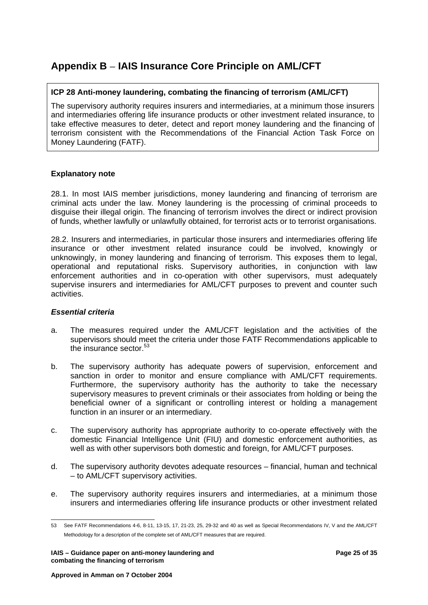# <span id="page-26-0"></span>**Appendix B** − **IAIS Insurance Core Principle on AML/CFT**

#### **ICP 28 Anti-money laundering, combating the financing of terrorism (AML/CFT)**

The supervisory authority requires insurers and intermediaries, at a minimum those insurers and intermediaries offering life insurance products or other investment related insurance, to take effective measures to deter, detect and report money laundering and the financing of terrorism consistent with the Recommendations of the Financial Action Task Force on Money Laundering (FATF).

#### **Explanatory note**

28.1. In most IAIS member jurisdictions, money laundering and financing of terrorism are criminal acts under the law. Money laundering is the processing of criminal proceeds to disguise their illegal origin. The financing of terrorism involves the direct or indirect provision of funds, whether lawfully or unlawfully obtained, for terrorist acts or to terrorist organisations.

28.2. Insurers and intermediaries, in particular those insurers and intermediaries offering life insurance or other investment related insurance could be involved, knowingly or unknowingly, in money laundering and financing of terrorism. This exposes them to legal, operational and reputational risks. Supervisory authorities, in conjunction with law enforcement authorities and in co-operation with other supervisors, must adequately supervise insurers and intermediaries for AML/CFT purposes to prevent and counter such activities.

#### *Essential criteria*

- a. The measures required under the AML/CFT legislation and the activities of the supervisors should meet the criteria under those FATF Recommendations applicable to the insurance sector.<sup>53</sup>
- b. The supervisory authority has adequate powers of supervision, enforcement and sanction in order to monitor and ensure compliance with AML/CFT requirements. Furthermore, the supervisory authority has the authority to take the necessary supervisory measures to prevent criminals or their associates from holding or being the beneficial owner of a significant or controlling interest or holding a management function in an insurer or an intermediary.
- c. The supervisory authority has appropriate authority to co-operate effectively with the domestic Financial Intelligence Unit (FIU) and domestic enforcement authorities, as well as with other supervisors both domestic and foreign, for AML/CFT purposes.
- d. The supervisory authority devotes adequate resources financial, human and technical – to AML/CFT supervisory activities.
- e. The supervisory authority requires insurers and intermediaries, at a minimum those insurers and intermediaries offering life insurance products or other investment related

<span id="page-26-1"></span> $\overline{a}$ 53 See FATF Recommendations 4-6, 8-11, 13-15, 17, 21-23, 25, 29-32 and 40 as well as Special Recommendations IV, V and the AML/CFT Methodology for a description of the complete set of AML/CFT measures that are required.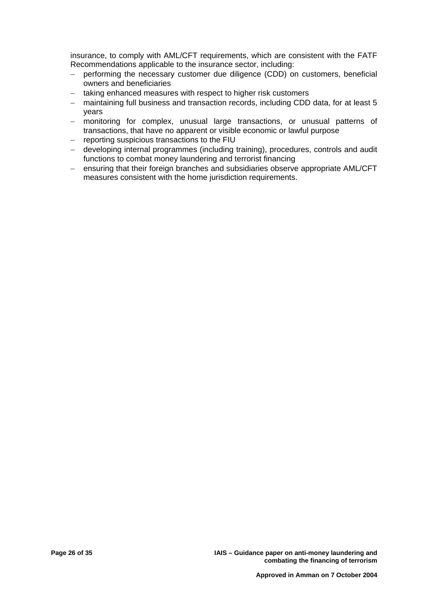insurance, to comply with AML/CFT requirements, which are consistent with the FATF Recommendations applicable to the insurance sector, including:

- − performing the necessary customer due diligence (CDD) on customers, beneficial owners and beneficiaries
- taking enhanced measures with respect to higher risk customers
- − maintaining full business and transaction records, including CDD data, for at least 5 years
- − monitoring for complex, unusual large transactions, or unusual patterns of transactions, that have no apparent or visible economic or lawful purpose
- − reporting suspicious transactions to the FIU
- − developing internal programmes (including training), procedures, controls and audit functions to combat money laundering and terrorist financing
- − ensuring that their foreign branches and subsidiaries observe appropriate AML/CFT measures consistent with the home jurisdiction requirements.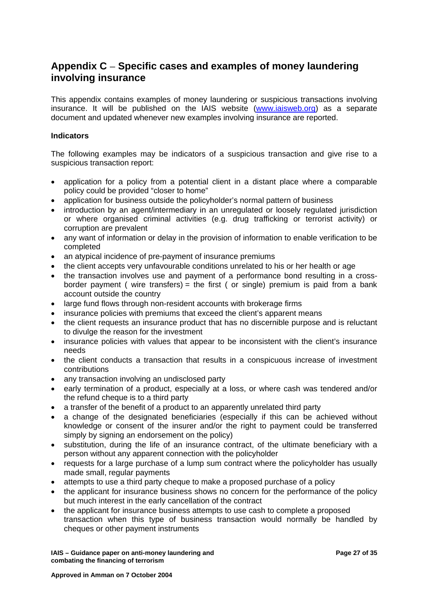# <span id="page-28-0"></span>**Appendix C** − **Specific cases and examples of money laundering involving insurance**

This appendix contains examples of money laundering or suspicious transactions involving insurance. It will be published on the IAIS website [\(www.iaisweb.org\)](http://www.iaisweb.org/) as a separate document and updated whenever new examples involving insurance are reported.

#### **Indicators**

The following examples may be indicators of a suspicious transaction and give rise to a suspicious transaction report:

- application for a policy from a potential client in a distant place where a comparable policy could be provided "closer to home"
- application for business outside the policyholder's normal pattern of business
- introduction by an agent/intermediary in an unregulated or loosely regulated jurisdiction or where organised criminal activities (e.g. drug trafficking or terrorist activity) or corruption are prevalent
- any want of information or delay in the provision of information to enable verification to be completed
- an atypical incidence of pre-payment of insurance premiums
- the client accepts very unfavourable conditions unrelated to his or her health or age
- the transaction involves use and payment of a performance bond resulting in a crossborder payment ( wire transfers) = the first ( or single) premium is paid from a bank account outside the country
- large fund flows through non-resident accounts with brokerage firms
- insurance policies with premiums that exceed the client's apparent means
- the client requests an insurance product that has no discernible purpose and is reluctant to divulge the reason for the investment
- insurance policies with values that appear to be inconsistent with the client's insurance needs
- the client conducts a transaction that results in a conspicuous increase of investment contributions
- any transaction involving an undisclosed party
- early termination of a product, especially at a loss, or where cash was tendered and/or the refund cheque is to a third party
- a transfer of the benefit of a product to an apparently unrelated third party
- a change of the designated beneficiaries (especially if this can be achieved without knowledge or consent of the insurer and/or the right to payment could be transferred simply by signing an endorsement on the policy)
- substitution, during the life of an insurance contract, of the ultimate beneficiary with a person without any apparent connection with the policyholder
- requests for a large purchase of a lump sum contract where the policyholder has usually made small, regular payments
- attempts to use a third party cheque to make a proposed purchase of a policy
- the applicant for insurance business shows no concern for the performance of the policy but much interest in the early cancellation of the contract
- the applicant for insurance business attempts to use cash to complete a proposed transaction when this type of business transaction would normally be handled by cheques or other payment instruments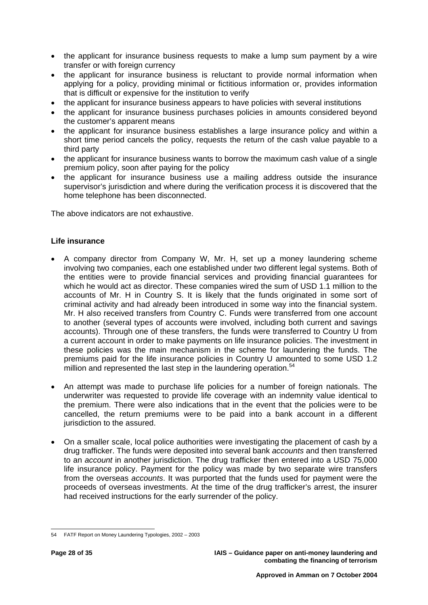- the applicant for insurance business requests to make a lump sum payment by a wire transfer or with foreign currency
- the applicant for insurance business is reluctant to provide normal information when applying for a policy, providing minimal or fictitious information or, provides information that is difficult or expensive for the institution to verify
- the applicant for insurance business appears to have policies with several institutions
- the applicant for insurance business purchases policies in amounts considered beyond the customer's apparent means
- the applicant for insurance business establishes a large insurance policy and within a short time period cancels the policy, requests the return of the cash value payable to a third party
- the applicant for insurance business wants to borrow the maximum cash value of a single premium policy, soon after paying for the policy
- the applicant for insurance business use a mailing address outside the insurance supervisor's jurisdiction and where during the verification process it is discovered that the home telephone has been disconnected.

The above indicators are not exhaustive.

#### **Life insurance**

- A company director from Company W, Mr. H, set up a money laundering scheme involving two companies, each one established under two different legal systems. Both of the entities were to provide financial services and providing financial guarantees for which he would act as director. These companies wired the sum of USD 1.1 million to the accounts of Mr. H in Country S. It is likely that the funds originated in some sort of criminal activity and had already been introduced in some way into the financial system. Mr. H also received transfers from Country C. Funds were transferred from one account to another (several types of accounts were involved, including both current and savings accounts). Through one of these transfers, the funds were transferred to Country U from a current account in order to make payments on life insurance policies. The investment in these policies was the main mechanism in the scheme for laundering the funds. The premiums paid for the life insurance policies in Country U amounted to some USD 1.2 million and represented the last step in the laundering operation.<sup>[54](#page-29-0)</sup>
- An attempt was made to purchase life policies for a number of foreign nationals. The underwriter was requested to provide life coverage with an indemnity value identical to the premium. There were also indications that in the event that the policies were to be cancelled, the return premiums were to be paid into a bank account in a different jurisdiction to the assured.
- On a smaller scale, local police authorities were investigating the placement of cash by a drug trafficker. The funds were deposited into several bank *accounts* and then transferred to an *account* in another jurisdiction. The drug trafficker then entered into a USD 75,000 life insurance policy. Payment for the policy was made by two separate wire transfers from the overseas *accounts*. It was purported that the funds used for payment were the proceeds of overseas investments. At the time of the drug trafficker's arrest, the insurer had received instructions for the early surrender of the policy.

<span id="page-29-0"></span> $\overline{a}$ 54 FATF Report on Money Laundering Typologies, 2002 – 2003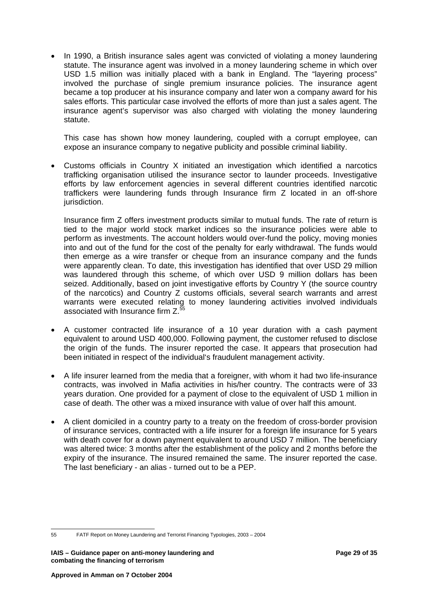• In 1990, a British insurance sales agent was convicted of violating a money laundering statute. The insurance agent was involved in a money laundering scheme in which over USD 1.5 million was initially placed with a bank in England. The "layering process" involved the purchase of single premium insurance policies. The insurance agent became a top producer at his insurance company and later won a company award for his sales efforts. This particular case involved the efforts of more than just a sales agent. The insurance agent's supervisor was also charged with violating the money laundering statute.

This case has shown how money laundering, coupled with a corrupt employee, can expose an insurance company to negative publicity and possible criminal liability.

• Customs officials in Country X initiated an investigation which identified a narcotics trafficking organisation utilised the insurance sector to launder proceeds. Investigative efforts by law enforcement agencies in several different countries identified narcotic traffickers were laundering funds through Insurance firm Z located in an off-shore jurisdiction.

Insurance firm Z offers investment products similar to mutual funds. The rate of return is tied to the major world stock market indices so the insurance policies were able to perform as investments. The account holders would over-fund the policy, moving monies into and out of the fund for the cost of the penalty for early withdrawal. The funds would then emerge as a wire transfer or cheque from an insurance company and the funds were apparently clean. To date, this investigation has identified that over USD 29 million was laundered through this scheme, of which over USD 9 million dollars has been seized. Additionally, based on joint investigative efforts by Country Y (the source country of the narcotics) and Country Z customs officials, several search warrants and arrest warrants were executed relating to money laundering activities involved individuals associated with Insurance firm  $Z_{\text{c}}^{\text{t}}$ 

- A customer contracted life insurance of a 10 year duration with a cash payment equivalent to around USD 400,000. Following payment, the customer refused to disclose the origin of the funds. The insurer reported the case. It appears that prosecution had been initiated in respect of the individual's fraudulent management activity.
- A life insurer learned from the media that a foreigner, with whom it had two life-insurance contracts, was involved in Mafia activities in his/her country. The contracts were of 33 years duration. One provided for a payment of close to the equivalent of USD 1 million in case of death. The other was a mixed insurance with value of over half this amount.
- A client domiciled in a country party to a treaty on the freedom of cross-border provision of insurance services, contracted with a life insurer for a foreign life insurance for 5 years with death cover for a down payment equivalent to around USD 7 million. The beneficiary was altered twice: 3 months after the establishment of the policy and 2 months before the expiry of the insurance. The insured remained the same. The insurer reported the case. The last beneficiary - an alias - turned out to be a PEP.

<span id="page-30-0"></span><sup>55</sup> 55 FATF Report on Money Laundering and Terrorist Financing Typologies, 2003 – 2004

**IAIS – Guidance paper on anti-money laundering and Page 29 of 35 and Page 29 of 35 and Page 29 of 35 and Page 29 of 35 and Page 29 of 35 and Page 29 of 35 and Page 29 of 35 and Page 29 of 35 and Page 29 of 35 and Page 29 combating the financing of terrorism**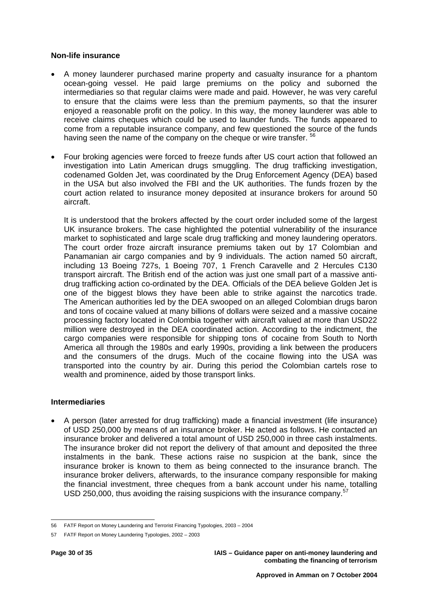#### **Non-life insurance**

- A money launderer purchased marine property and casualty insurance for a phantom ocean-going vessel. He paid large premiums on the policy and suborned the intermediaries so that regular claims were made and paid. However, he was very careful to ensure that the claims were less than the premium payments, so that the insurer enjoyed a reasonable profit on the policy. In this way, the money launderer was able to receive claims cheques which could be used to launder funds. The funds appeared to come from a reputable insurance company, and few questioned the source of the funds having seen the name of the company on the cheque or wire transfer. <sup>[56](#page-31-0)</sup>
- Four broking agencies were forced to freeze funds after US court action that followed an investigation into Latin American drugs smuggling. The drug trafficking investigation, codenamed Golden Jet, was coordinated by the Drug Enforcement Agency (DEA) based in the USA but also involved the FBI and the UK authorities. The funds frozen by the court action related to insurance money deposited at insurance brokers for around 50 aircraft.

It is understood that the brokers affected by the court order included some of the largest UK insurance brokers. The case highlighted the potential vulnerability of the insurance market to sophisticated and large scale drug trafficking and money laundering operators. The court order froze aircraft insurance premiums taken out by 17 Colombian and Panamanian air cargo companies and by 9 individuals. The action named 50 aircraft, including 13 Boeing 727s, 1 Boeing 707, 1 French Caravelle and 2 Hercules C130 transport aircraft. The British end of the action was just one small part of a massive antidrug trafficking action co-ordinated by the DEA. Officials of the DEA believe Golden Jet is one of the biggest blows they have been able to strike against the narcotics trade. The American authorities led by the DEA swooped on an alleged Colombian drugs baron and tons of cocaine valued at many billions of dollars were seized and a massive cocaine processing factory located in Colombia together with aircraft valued at more than USD22 million were destroyed in the DEA coordinated action. According to the indictment, the cargo companies were responsible for shipping tons of cocaine from South to North America all through the 1980s and early 1990s, providing a link between the producers and the consumers of the drugs. Much of the cocaine flowing into the USA was transported into the country by air. During this period the Colombian cartels rose to wealth and prominence, aided by those transport links.

#### **Intermediaries**

• A person (later arrested for drug trafficking) made a financial investment (life insurance) of USD 250,000 by means of an insurance broker. He acted as follows. He contacted an insurance broker and delivered a total amount of USD 250,000 in three cash instalments. The insurance broker did not report the delivery of that amount and deposited the three instalments in the bank. These actions raise no suspicion at the bank, since the insurance broker is known to them as being connected to the insurance branch. The insurance broker delivers, afterwards, to the insurance company responsible for making the financial investment, three cheques from a bank account under his name, totalling USD 250,000, thus avoiding the raising suspicions with the insurance company.<sup>[57](#page-31-1)</sup>

**Page 30 of 35 IAIS – Guidance paper on anti-money laundering and combating the financing of terrorism** 

 $\overline{a}$ 56 FATF Report on Money Laundering and Terrorist Financing Typologies, 2003 – 2004

<span id="page-31-1"></span><span id="page-31-0"></span><sup>57</sup> FATF Report on Money Laundering Typologies, 2002 – 2003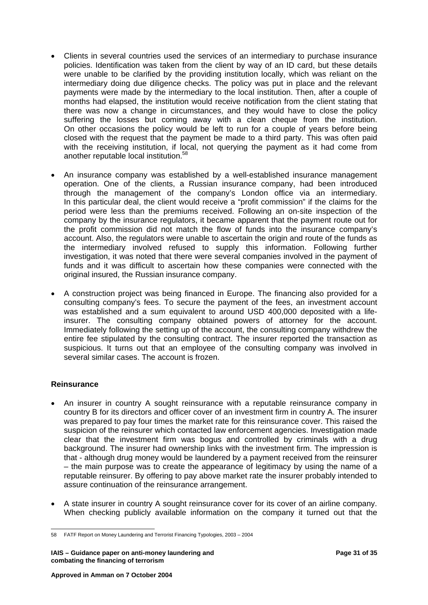- Clients in several countries used the services of an intermediary to purchase insurance policies. Identification was taken from the client by way of an ID card, but these details were unable to be clarified by the providing institution locally, which was reliant on the intermediary doing due diligence checks. The policy was put in place and the relevant payments were made by the intermediary to the local institution. Then, after a couple of months had elapsed, the institution would receive notification from the client stating that there was now a change in circumstances, and they would have to close the policy suffering the losses but coming away with a clean cheque from the institution. On other occasions the policy would be left to run for a couple of years before being closed with the request that the payment be made to a third party. This was often paid with the receiving institution, if local, not querying the payment as it had come from another reputable local institution.[58](#page-32-0)
- An insurance company was established by a well-established insurance management operation. One of the clients, a Russian insurance company, had been introduced through the management of the company's London office via an intermediary. In this particular deal, the client would receive a "profit commission" if the claims for the period were less than the premiums received. Following an on-site inspection of the company by the insurance regulators, it became apparent that the payment route out for the profit commission did not match the flow of funds into the insurance company's account. Also, the regulators were unable to ascertain the origin and route of the funds as the intermediary involved refused to supply this information. Following further investigation, it was noted that there were several companies involved in the payment of funds and it was difficult to ascertain how these companies were connected with the original insured, the Russian insurance company.
- A construction project was being financed in Europe. The financing also provided for a consulting company's fees. To secure the payment of the fees, an investment account was established and a sum equivalent to around USD 400,000 deposited with a lifeinsurer. The consulting company obtained powers of attorney for the account. Immediately following the setting up of the account, the consulting company withdrew the entire fee stipulated by the consulting contract. The insurer reported the transaction as suspicious. It turns out that an employee of the consulting company was involved in several similar cases. The account is frozen.

#### **Reinsurance**

- An insurer in country A sought reinsurance with a reputable reinsurance company in country B for its directors and officer cover of an investment firm in country A. The insurer was prepared to pay four times the market rate for this reinsurance cover. This raised the suspicion of the reinsurer which contacted law enforcement agencies. Investigation made clear that the investment firm was bogus and controlled by criminals with a drug background. The insurer had ownership links with the investment firm. The impression is that - although drug money would be laundered by a payment received from the reinsurer – the main purpose was to create the appearance of legitimacy by using the name of a reputable reinsurer. By offering to pay above market rate the insurer probably intended to assure continuation of the reinsurance arrangement.
- A state insurer in country A sought reinsurance cover for its cover of an airline company. When checking publicly available information on the company it turned out that the

<span id="page-32-0"></span> $\overline{a}$ 58 FATF Report on Money Laundering and Terrorist Financing Typologies, 2003 – 2004

**IAIS – Guidance paper on anti-money laundering and Page 31 of 35 Page 31 of 35 Page 31 of 35 Page 31 of 35 Page 31 of 35 Page 31 of 35 Page 31 of 35 Page 31 of 35 Page 31 of 35 Page 31 of 35 Page 31 of 35 Page 31 of 35 Pa combating the financing of terrorism**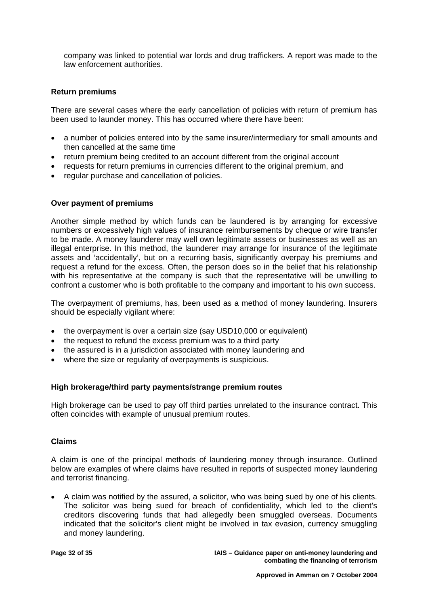company was linked to potential war lords and drug traffickers. A report was made to the law enforcement authorities.

#### **Return premiums**

There are several cases where the early cancellation of policies with return of premium has been used to launder money. This has occurred where there have been:

- a number of policies entered into by the same insurer/intermediary for small amounts and then cancelled at the same time
- return premium being credited to an account different from the original account
- requests for return premiums in currencies different to the original premium, and
- regular purchase and cancellation of policies.

#### **Over payment of premiums**

Another simple method by which funds can be laundered is by arranging for excessive numbers or excessively high values of insurance reimbursements by cheque or wire transfer to be made. A money launderer may well own legitimate assets or businesses as well as an illegal enterprise. In this method, the launderer may arrange for insurance of the legitimate assets and 'accidentally', but on a recurring basis, significantly overpay his premiums and request a refund for the excess. Often, the person does so in the belief that his relationship with his representative at the company is such that the representative will be unwilling to confront a customer who is both profitable to the company and important to his own success.

The overpayment of premiums, has, been used as a method of money laundering. Insurers should be especially vigilant where:

- the overpayment is over a certain size (say USD10,000 or equivalent)
- the request to refund the excess premium was to a third party
- the assured is in a jurisdiction associated with money laundering and
- where the size or regularity of overpayments is suspicious.

#### **High brokerage/third party payments/strange premium routes**

High brokerage can be used to pay off third parties unrelated to the insurance contract. This often coincides with example of unusual premium routes.

#### **Claims**

A claim is one of the principal methods of laundering money through insurance. Outlined below are examples of where claims have resulted in reports of suspected money laundering and terrorist financing.

• A claim was notified by the assured, a solicitor, who was being sued by one of his clients. The solicitor was being sued for breach of confidentiality, which led to the client's creditors discovering funds that had allegedly been smuggled overseas. Documents indicated that the solicitor's client might be involved in tax evasion, currency smuggling and money laundering.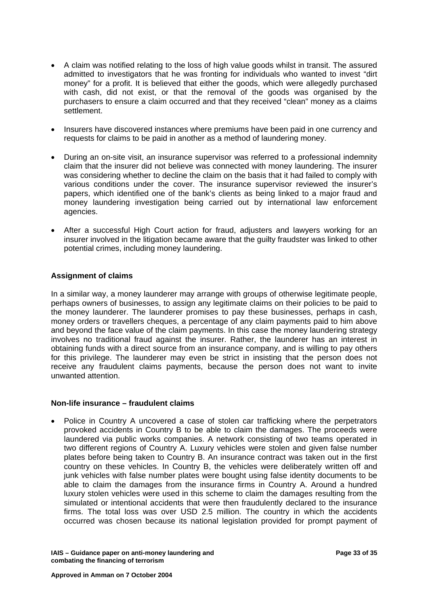- A claim was notified relating to the loss of high value goods whilst in transit. The assured admitted to investigators that he was fronting for individuals who wanted to invest "dirt money" for a profit. It is believed that either the goods, which were allegedly purchased with cash, did not exist, or that the removal of the goods was organised by the purchasers to ensure a claim occurred and that they received "clean" money as a claims settlement.
- Insurers have discovered instances where premiums have been paid in one currency and requests for claims to be paid in another as a method of laundering money.
- During an on-site visit, an insurance supervisor was referred to a professional indemnity claim that the insurer did not believe was connected with money laundering. The insurer was considering whether to decline the claim on the basis that it had failed to comply with various conditions under the cover. The insurance supervisor reviewed the insurer's papers, which identified one of the bank's clients as being linked to a major fraud and money laundering investigation being carried out by international law enforcement agencies.
- After a successful High Court action for fraud, adjusters and lawyers working for an insurer involved in the litigation became aware that the guilty fraudster was linked to other potential crimes, including money laundering.

#### **Assignment of claims**

In a similar way, a money launderer may arrange with groups of otherwise legitimate people, perhaps owners of businesses, to assign any legitimate claims on their policies to be paid to the money launderer. The launderer promises to pay these businesses, perhaps in cash, money orders or travellers cheques, a percentage of any claim payments paid to him above and beyond the face value of the claim payments. In this case the money laundering strategy involves no traditional fraud against the insurer. Rather, the launderer has an interest in obtaining funds with a direct source from an insurance company, and is willing to pay others for this privilege. The launderer may even be strict in insisting that the person does not receive any fraudulent claims payments, because the person does not want to invite unwanted attention.

#### **Non-life insurance – fraudulent claims**

• Police in Country A uncovered a case of stolen car trafficking where the perpetrators provoked accidents in Country B to be able to claim the damages. The proceeds were laundered via public works companies. A network consisting of two teams operated in two different regions of Country A. Luxury vehicles were stolen and given false number plates before being taken to Country B. An insurance contract was taken out in the first country on these vehicles. In Country B, the vehicles were deliberately written off and junk vehicles with false number plates were bought using false identity documents to be able to claim the damages from the insurance firms in Country A. Around a hundred luxury stolen vehicles were used in this scheme to claim the damages resulting from the simulated or intentional accidents that were then fraudulently declared to the insurance firms. The total loss was over USD 2.5 million. The country in which the accidents occurred was chosen because its national legislation provided for prompt payment of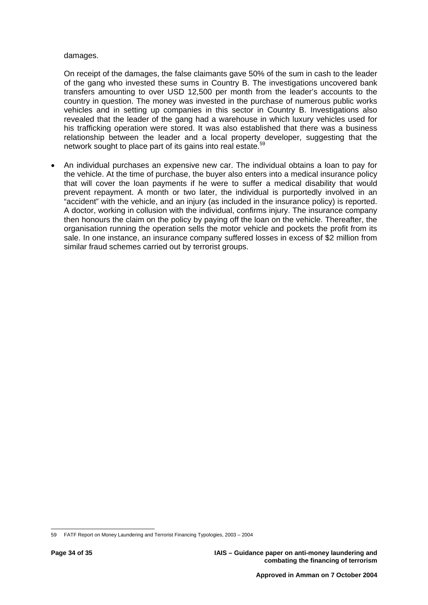#### damages.

On receipt of the damages, the false claimants gave 50% of the sum in cash to the leader of the gang who invested these sums in Country B. The investigations uncovered bank transfers amounting to over USD 12,500 per month from the leader's accounts to the country in question. The money was invested in the purchase of numerous public works vehicles and in setting up companies in this sector in Country B. Investigations also revealed that the leader of the gang had a warehouse in which luxury vehicles used for his trafficking operation were stored. It was also established that there was a business relationship between the leader and a local property developer, suggesting that the network sought to place part of its gains into real estate.<sup>[59](#page-35-0)</sup>

• An individual purchases an expensive new car. The individual obtains a loan to pay for the vehicle. At the time of purchase, the buyer also enters into a medical insurance policy that will cover the loan payments if he were to suffer a medical disability that would prevent repayment. A month or two later, the individual is purportedly involved in an "accident" with the vehicle, and an injury (as included in the insurance policy) is reported. A doctor, working in collusion with the individual, confirms injury. The insurance company then honours the claim on the policy by paying off the loan on the vehicle. Thereafter, the organisation running the operation sells the motor vehicle and pockets the profit from its sale. In one instance, an insurance company suffered losses in excess of \$2 million from similar fraud schemes carried out by terrorist groups.

<span id="page-35-0"></span> $\overline{a}$ 59 FATF Report on Money Laundering and Terrorist Financing Typologies, 2003 – 2004